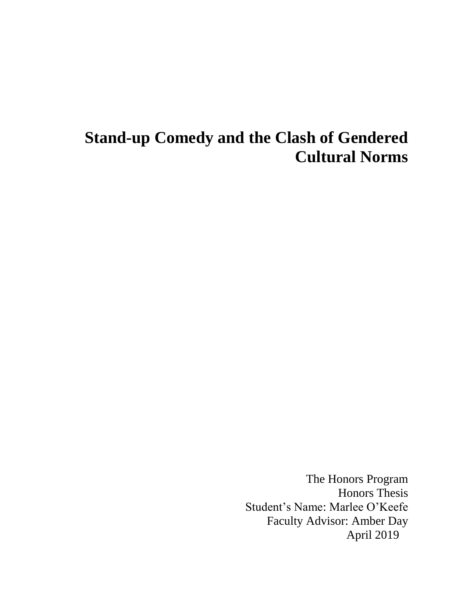# **Stand-up Comedy and the Clash of Gendered Cultural Norms**

The Honors Program Honors Thesis Student's Name: Marlee O'Keefe Faculty Advisor: Amber Day April 2019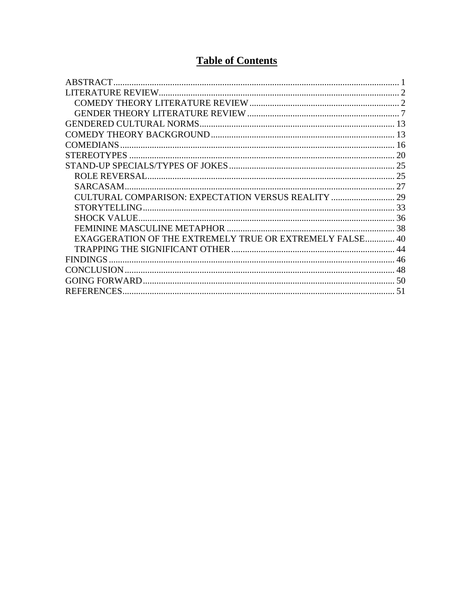# **Table of Contents**

|                                                       | 16         |
|-------------------------------------------------------|------------|
|                                                       |            |
|                                                       |            |
|                                                       | 25         |
| <b>SARCASAM</b>                                       |            |
|                                                       |            |
|                                                       |            |
|                                                       |            |
|                                                       |            |
| EXAGGERATION OF THE EXTREMELY TRUE OR EXTREMELY FALSE | $\Delta$ 0 |
|                                                       | 44         |
|                                                       | 46         |
|                                                       |            |
|                                                       | -50        |
| REFERENCES.                                           | 51         |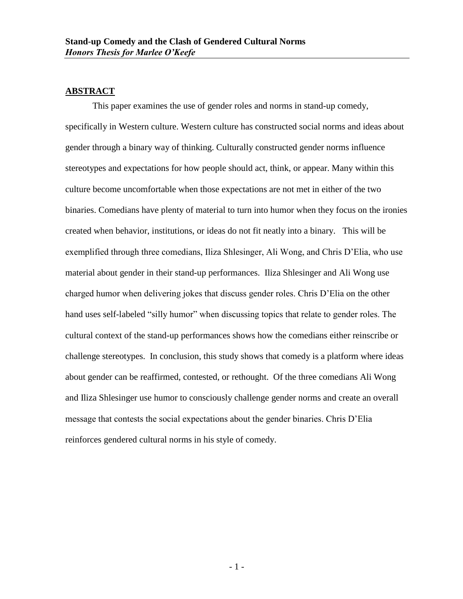#### <span id="page-2-0"></span>**ABSTRACT**

This paper examines the use of gender roles and norms in stand-up comedy, specifically in Western culture. Western culture has constructed social norms and ideas about gender through a binary way of thinking. Culturally constructed gender norms influence stereotypes and expectations for how people should act, think, or appear. Many within this culture become uncomfortable when those expectations are not met in either of the two binaries. Comedians have plenty of material to turn into humor when they focus on the ironies created when behavior, institutions, or ideas do not fit neatly into a binary. This will be exemplified through three comedians, Iliza Shlesinger, Ali Wong, and Chris D'Elia, who use material about gender in their stand-up performances. Iliza Shlesinger and Ali Wong use charged humor when delivering jokes that discuss gender roles. Chris D'Elia on the other hand uses self-labeled "silly humor" when discussing topics that relate to gender roles. The cultural context of the stand-up performances shows how the comedians either reinscribe or challenge stereotypes. In conclusion, this study shows that comedy is a platform where ideas about gender can be reaffirmed, contested, or rethought. Of the three comedians Ali Wong and Iliza Shlesinger use humor to consciously challenge gender norms and create an overall message that contests the social expectations about the gender binaries. Chris D'Elia reinforces gendered cultural norms in his style of comedy.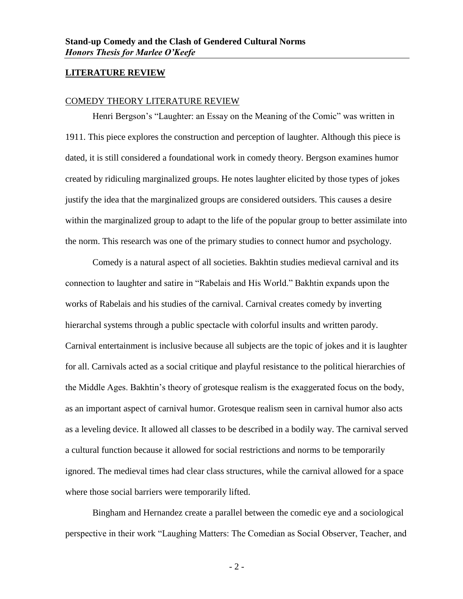#### <span id="page-3-1"></span><span id="page-3-0"></span>**LITERATURE REVIEW**

#### COMEDY THEORY LITERATURE REVIEW

Henri Bergson's "Laughter: an Essay on the Meaning of the Comic" was written in 1911. This piece explores the construction and perception of laughter. Although this piece is dated, it is still considered a foundational work in comedy theory. Bergson examines humor created by ridiculing marginalized groups. He notes laughter elicited by those types of jokes justify the idea that the marginalized groups are considered outsiders. This causes a desire within the marginalized group to adapt to the life of the popular group to better assimilate into the norm. This research was one of the primary studies to connect humor and psychology.

Comedy is a natural aspect of all societies. Bakhtin studies medieval carnival and its connection to laughter and satire in "Rabelais and His World." Bakhtin expands upon the works of Rabelais and his studies of the carnival. Carnival creates comedy by inverting hierarchal systems through a public spectacle with colorful insults and written parody. Carnival entertainment is inclusive because all subjects are the topic of jokes and it is laughter for all. Carnivals acted as a social critique and playful resistance to the political hierarchies of the Middle Ages. Bakhtin's theory of grotesque realism is the exaggerated focus on the body, as an important aspect of carnival humor. Grotesque realism seen in carnival humor also acts as a leveling device. It allowed all classes to be described in a bodily way. The carnival served a cultural function because it allowed for social restrictions and norms to be temporarily ignored. The medieval times had clear class structures, while the carnival allowed for a space where those social barriers were temporarily lifted.

Bingham and Hernandez create a parallel between the comedic eye and a sociological perspective in their work "Laughing Matters: The Comedian as Social Observer, Teacher, and

 $-2-$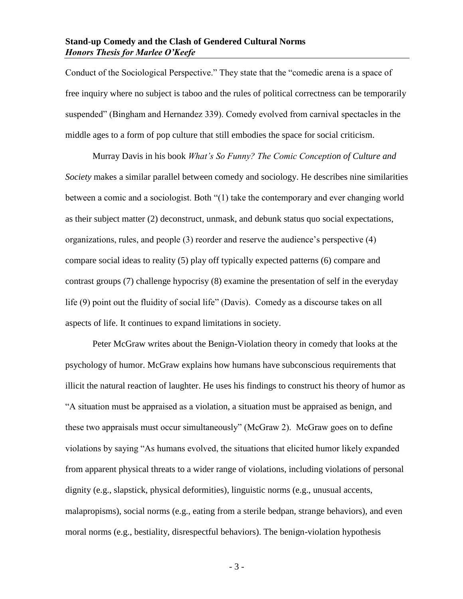Conduct of the Sociological Perspective." They state that the "comedic arena is a space of free inquiry where no subject is taboo and the rules of political correctness can be temporarily suspended" (Bingham and Hernandez 339). Comedy evolved from carnival spectacles in the middle ages to a form of pop culture that still embodies the space for social criticism.

Murray Davis in his book *What's So Funny? The Comic Conception of Culture and Society* makes a similar parallel between comedy and sociology. He describes nine similarities between a comic and a sociologist. Both "(1) take the contemporary and ever changing world as their subject matter (2) deconstruct, unmask, and debunk status quo social expectations, organizations, rules, and people (3) reorder and reserve the audience's perspective (4) compare social ideas to reality (5) play off typically expected patterns (6) compare and contrast groups (7) challenge hypocrisy (8) examine the presentation of self in the everyday life (9) point out the fluidity of social life" (Davis). Comedy as a discourse takes on all aspects of life. It continues to expand limitations in society.

Peter McGraw writes about the Benign-Violation theory in comedy that looks at the psychology of humor. McGraw explains how humans have subconscious requirements that illicit the natural reaction of laughter. He uses his findings to construct his theory of humor as "A situation must be appraised as a violation, a situation must be appraised as benign, and these two appraisals must occur simultaneously" (McGraw 2). McGraw goes on to define violations by saying "As humans evolved, the situations that elicited humor likely expanded from apparent physical threats to a wider range of violations, including violations of personal dignity (e.g., slapstick, physical deformities), linguistic norms (e.g., unusual accents, malapropisms), social norms (e.g., eating from a sterile bedpan, strange behaviors), and even moral norms (e.g., bestiality, disrespectful behaviors). The benign-violation hypothesis

- 3 -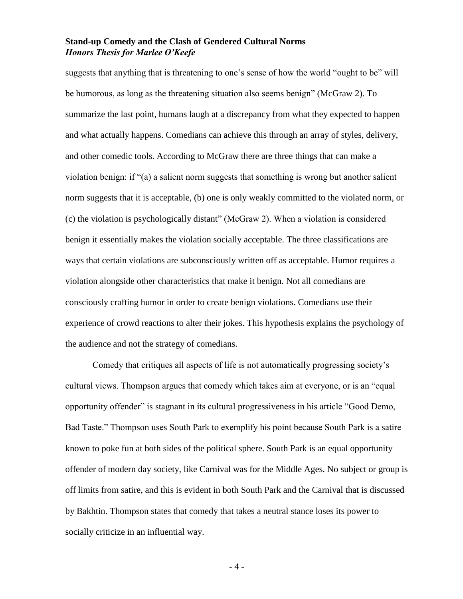suggests that anything that is threatening to one's sense of how the world "ought to be" will be humorous, as long as the threatening situation also seems benign" (McGraw 2). To summarize the last point, humans laugh at a discrepancy from what they expected to happen and what actually happens. Comedians can achieve this through an array of styles, delivery, and other comedic tools. According to McGraw there are three things that can make a violation benign: if "(a) a salient norm suggests that something is wrong but another salient norm suggests that it is acceptable, (b) one is only weakly committed to the violated norm, or (c) the violation is psychologically distant" (McGraw 2). When a violation is considered benign it essentially makes the violation socially acceptable. The three classifications are ways that certain violations are subconsciously written off as acceptable. Humor requires a violation alongside other characteristics that make it benign. Not all comedians are consciously crafting humor in order to create benign violations. Comedians use their experience of crowd reactions to alter their jokes. This hypothesis explains the psychology of the audience and not the strategy of comedians.

Comedy that critiques all aspects of life is not automatically progressing society's cultural views. Thompson argues that comedy which takes aim at everyone, or is an "equal opportunity offender" is stagnant in its cultural progressiveness in his article "Good Demo, Bad Taste." Thompson uses South Park to exemplify his point because South Park is a satire known to poke fun at both sides of the political sphere. South Park is an equal opportunity offender of modern day society, like Carnival was for the Middle Ages. No subject or group is off limits from satire, and this is evident in both South Park and the Carnival that is discussed by Bakhtin. Thompson states that comedy that takes a neutral stance loses its power to socially criticize in an influential way.

- 4 -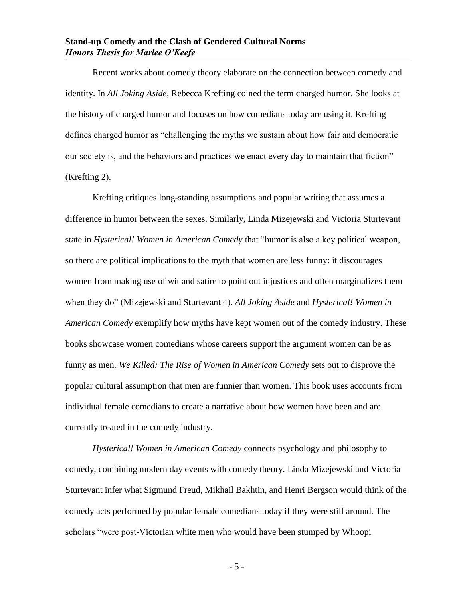Recent works about comedy theory elaborate on the connection between comedy and identity. In *All Joking Aside*, Rebecca Krefting coined the term charged humor. She looks at the history of charged humor and focuses on how comedians today are using it. Krefting defines charged humor as "challenging the myths we sustain about how fair and democratic our society is, and the behaviors and practices we enact every day to maintain that fiction" (Krefting 2).

Krefting critiques long-standing assumptions and popular writing that assumes a difference in humor between the sexes. Similarly, Linda Mizejewski and Victoria Sturtevant state in *Hysterical! Women in American Comedy* that "humor is also a key political weapon, so there are political implications to the myth that women are less funny: it discourages women from making use of wit and satire to point out injustices and often marginalizes them when they do" (Mizejewski and Sturtevant 4). *All Joking Aside* and *Hysterical! Women in American Comedy* exemplify how myths have kept women out of the comedy industry. These books showcase women comedians whose careers support the argument women can be as funny as men. *We Killed: The Rise of Women in American Comedy* sets out to disprove the popular cultural assumption that men are funnier than women. This book uses accounts from individual female comedians to create a narrative about how women have been and are currently treated in the comedy industry.

*Hysterical! Women in American Comedy* connects psychology and philosophy to comedy, combining modern day events with comedy theory. Linda Mizejewski and Victoria Sturtevant infer what Sigmund Freud, Mikhail Bakhtin, and Henri Bergson would think of the comedy acts performed by popular female comedians today if they were still around. The scholars "were post-Victorian white men who would have been stumped by Whoopi

- 5 -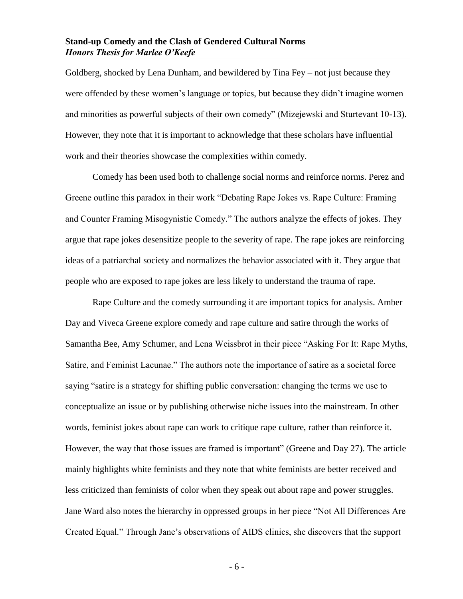Goldberg, shocked by Lena Dunham, and bewildered by Tina Fey – not just because they were offended by these women's language or topics, but because they didn't imagine women and minorities as powerful subjects of their own comedy" (Mizejewski and Sturtevant 10-13). However, they note that it is important to acknowledge that these scholars have influential work and their theories showcase the complexities within comedy.

Comedy has been used both to challenge social norms and reinforce norms. Perez and Greene outline this paradox in their work "Debating Rape Jokes vs. Rape Culture: Framing and Counter Framing Misogynistic Comedy." The authors analyze the effects of jokes. They argue that rape jokes desensitize people to the severity of rape. The rape jokes are reinforcing ideas of a patriarchal society and normalizes the behavior associated with it. They argue that people who are exposed to rape jokes are less likely to understand the trauma of rape.

Rape Culture and the comedy surrounding it are important topics for analysis. Amber Day and Viveca Greene explore comedy and rape culture and satire through the works of Samantha Bee, Amy Schumer, and Lena Weissbrot in their piece "Asking For It: Rape Myths, Satire, and Feminist Lacunae." The authors note the importance of satire as a societal force saying "satire is a strategy for shifting public conversation: changing the terms we use to conceptualize an issue or by publishing otherwise niche issues into the mainstream. In other words, feminist jokes about rape can work to critique rape culture, rather than reinforce it. However, the way that those issues are framed is important" (Greene and Day 27). The article mainly highlights white feminists and they note that white feminists are better received and less criticized than feminists of color when they speak out about rape and power struggles. Jane Ward also notes the hierarchy in oppressed groups in her piece "Not All Differences Are Created Equal." Through Jane's observations of AIDS clinics, she discovers that the support

- 6 -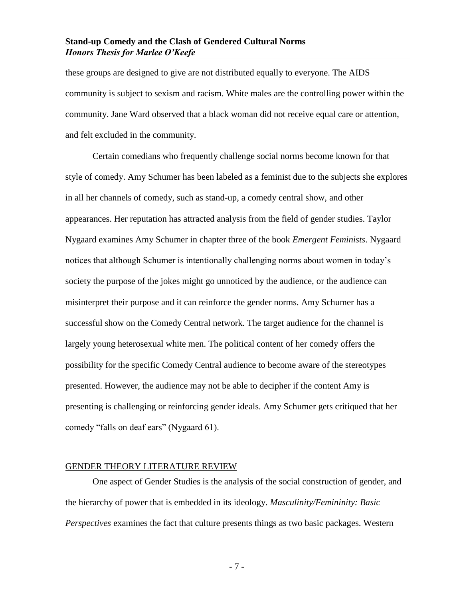these groups are designed to give are not distributed equally to everyone. The AIDS community is subject to sexism and racism. White males are the controlling power within the community. Jane Ward observed that a black woman did not receive equal care or attention, and felt excluded in the community.

Certain comedians who frequently challenge social norms become known for that style of comedy. Amy Schumer has been labeled as a feminist due to the subjects she explores in all her channels of comedy, such as stand-up, a comedy central show, and other appearances. Her reputation has attracted analysis from the field of gender studies. Taylor Nygaard examines Amy Schumer in chapter three of the book *Emergent Feminists*. Nygaard notices that although Schumer is intentionally challenging norms about women in today's society the purpose of the jokes might go unnoticed by the audience, or the audience can misinterpret their purpose and it can reinforce the gender norms. Amy Schumer has a successful show on the Comedy Central network. The target audience for the channel is largely young heterosexual white men. The political content of her comedy offers the possibility for the specific Comedy Central audience to become aware of the stereotypes presented. However, the audience may not be able to decipher if the content Amy is presenting is challenging or reinforcing gender ideals. Amy Schumer gets critiqued that her comedy "falls on deaf ears" (Nygaard 61).

#### <span id="page-8-0"></span>GENDER THEORY LITERATURE REVIEW

One aspect of Gender Studies is the analysis of the social construction of gender, and the hierarchy of power that is embedded in its ideology. *Masculinity/Femininity: Basic Perspectives* examines the fact that culture presents things as two basic packages. Western

- 7 -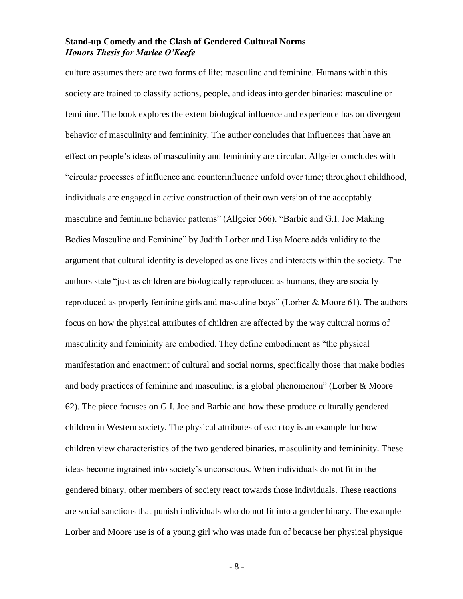culture assumes there are two forms of life: masculine and feminine. Humans within this society are trained to classify actions, people, and ideas into gender binaries: masculine or feminine. The book explores the extent biological influence and experience has on divergent behavior of masculinity and femininity. The author concludes that influences that have an effect on people's ideas of masculinity and femininity are circular. Allgeier concludes with "circular processes of influence and counterinfluence unfold over time; throughout childhood, individuals are engaged in active construction of their own version of the acceptably masculine and feminine behavior patterns" (Allgeier 566). "Barbie and G.I. Joe Making Bodies Masculine and Feminine" by Judith Lorber and Lisa Moore adds validity to the argument that cultural identity is developed as one lives and interacts within the society. The authors state "just as children are biologically reproduced as humans, they are socially reproduced as properly feminine girls and masculine boys" (Lorber & Moore 61). The authors focus on how the physical attributes of children are affected by the way cultural norms of masculinity and femininity are embodied. They define embodiment as "the physical manifestation and enactment of cultural and social norms, specifically those that make bodies and body practices of feminine and masculine, is a global phenomenon" (Lorber & Moore 62). The piece focuses on G.I. Joe and Barbie and how these produce culturally gendered children in Western society. The physical attributes of each toy is an example for how children view characteristics of the two gendered binaries, masculinity and femininity. These ideas become ingrained into society's unconscious. When individuals do not fit in the gendered binary, other members of society react towards those individuals. These reactions are social sanctions that punish individuals who do not fit into a gender binary. The example Lorber and Moore use is of a young girl who was made fun of because her physical physique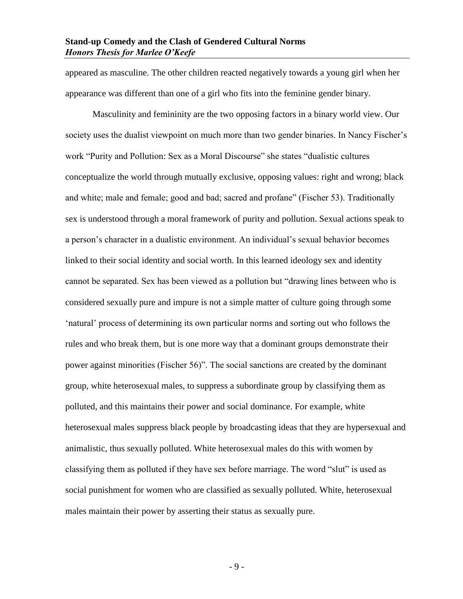appeared as masculine. The other children reacted negatively towards a young girl when her appearance was different than one of a girl who fits into the feminine gender binary.

Masculinity and femininity are the two opposing factors in a binary world view. Our society uses the dualist viewpoint on much more than two gender binaries. In Nancy Fischer's work "Purity and Pollution: Sex as a Moral Discourse" she states "dualistic cultures conceptualize the world through mutually exclusive, opposing values: right and wrong; black and white; male and female; good and bad; sacred and profane" (Fischer 53). Traditionally sex is understood through a moral framework of purity and pollution. Sexual actions speak to a person's character in a dualistic environment. An individual's sexual behavior becomes linked to their social identity and social worth. In this learned ideology sex and identity cannot be separated. Sex has been viewed as a pollution but "drawing lines between who is considered sexually pure and impure is not a simple matter of culture going through some 'natural' process of determining its own particular norms and sorting out who follows the rules and who break them, but is one more way that a dominant groups demonstrate their power against minorities (Fischer 56)". The social sanctions are created by the dominant group, white heterosexual males, to suppress a subordinate group by classifying them as polluted, and this maintains their power and social dominance. For example, white heterosexual males suppress black people by broadcasting ideas that they are hypersexual and animalistic, thus sexually polluted. White heterosexual males do this with women by classifying them as polluted if they have sex before marriage. The word "slut" is used as social punishment for women who are classified as sexually polluted. White, heterosexual males maintain their power by asserting their status as sexually pure.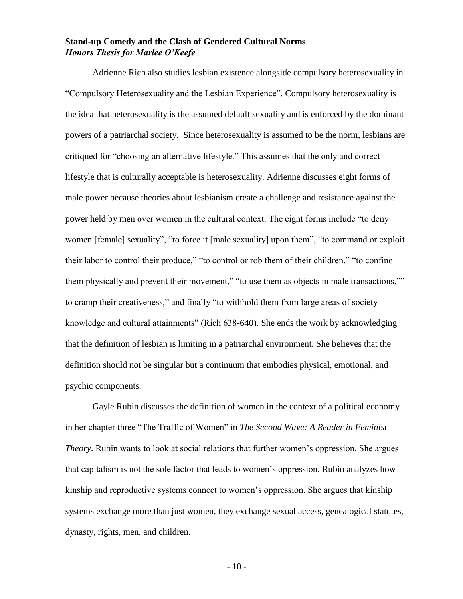Adrienne Rich also studies lesbian existence alongside compulsory heterosexuality in "Compulsory Heterosexuality and the Lesbian Experience". Compulsory heterosexuality is the idea that heterosexuality is the assumed default sexuality and is enforced by the dominant powers of a patriarchal society. Since heterosexuality is assumed to be the norm, lesbians are critiqued for "choosing an alternative lifestyle." This assumes that the only and correct lifestyle that is culturally acceptable is heterosexuality. Adrienne discusses eight forms of male power because theories about lesbianism create a challenge and resistance against the power held by men over women in the cultural context. The eight forms include "to deny women [female] sexuality", "to force it [male sexuality] upon them", "to command or exploit their labor to control their produce," "to control or rob them of their children," "to confine them physically and prevent their movement," "to use them as objects in male transactions,"" to cramp their creativeness," and finally "to withhold them from large areas of society knowledge and cultural attainments" (Rich 638-640). She ends the work by acknowledging that the definition of lesbian is limiting in a patriarchal environment. She believes that the definition should not be singular but a continuum that embodies physical, emotional, and psychic components.

Gayle Rubin discusses the definition of women in the context of a political economy in her chapter three "The Traffic of Women" in *The Second Wave: A Reader in Feminist Theory*. Rubin wants to look at social relations that further women's oppression. She argues that capitalism is not the sole factor that leads to women's oppression. Rubin analyzes how kinship and reproductive systems connect to women's oppression. She argues that kinship systems exchange more than just women, they exchange sexual access, genealogical statutes, dynasty, rights, men, and children.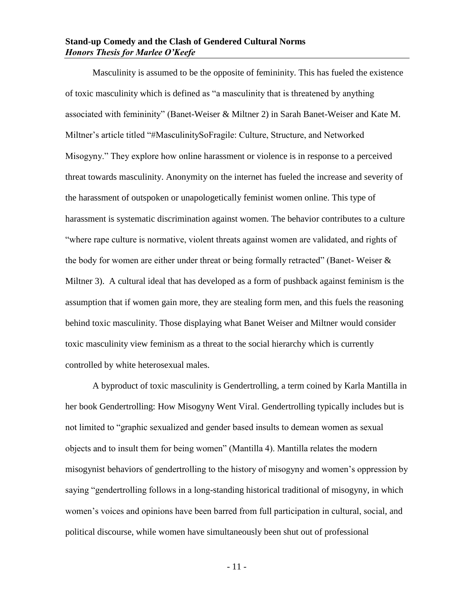Masculinity is assumed to be the opposite of femininity. This has fueled the existence of toxic masculinity which is defined as "a masculinity that is threatened by anything associated with femininity" (Banet-Weiser & Miltner 2) in Sarah Banet-Weiser and Kate M. Miltner's article titled "#MasculinitySoFragile: Culture, Structure, and Networked Misogyny." They explore how online harassment or violence is in response to a perceived threat towards masculinity. Anonymity on the internet has fueled the increase and severity of the harassment of outspoken or unapologetically feminist women online. This type of harassment is systematic discrimination against women. The behavior contributes to a culture "where rape culture is normative, violent threats against women are validated, and rights of the body for women are either under threat or being formally retracted" (Banet- Weiser & Miltner 3). A cultural ideal that has developed as a form of pushback against feminism is the assumption that if women gain more, they are stealing form men, and this fuels the reasoning behind toxic masculinity. Those displaying what Banet Weiser and Miltner would consider toxic masculinity view feminism as a threat to the social hierarchy which is currently controlled by white heterosexual males.

A byproduct of toxic masculinity is Gendertrolling, a term coined by Karla Mantilla in her book Gendertrolling: How Misogyny Went Viral. Gendertrolling typically includes but is not limited to "graphic sexualized and gender based insults to demean women as sexual objects and to insult them for being women" (Mantilla 4). Mantilla relates the modern misogynist behaviors of gendertrolling to the history of misogyny and women's oppression by saying "gendertrolling follows in a long-standing historical traditional of misogyny, in which women's voices and opinions have been barred from full participation in cultural, social, and political discourse, while women have simultaneously been shut out of professional

- 11 -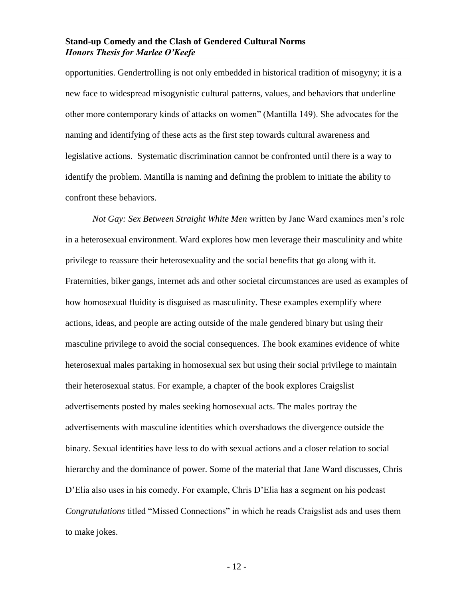opportunities. Gendertrolling is not only embedded in historical tradition of misogyny; it is a new face to widespread misogynistic cultural patterns, values, and behaviors that underline other more contemporary kinds of attacks on women" (Mantilla 149). She advocates for the naming and identifying of these acts as the first step towards cultural awareness and legislative actions. Systematic discrimination cannot be confronted until there is a way to identify the problem. Mantilla is naming and defining the problem to initiate the ability to confront these behaviors.

*Not Gay: Sex Between Straight White Men* written by Jane Ward examines men's role in a heterosexual environment. Ward explores how men leverage their masculinity and white privilege to reassure their heterosexuality and the social benefits that go along with it. Fraternities, biker gangs, internet ads and other societal circumstances are used as examples of how homosexual fluidity is disguised as masculinity. These examples exemplify where actions, ideas, and people are acting outside of the male gendered binary but using their masculine privilege to avoid the social consequences. The book examines evidence of white heterosexual males partaking in homosexual sex but using their social privilege to maintain their heterosexual status. For example, a chapter of the book explores Craigslist advertisements posted by males seeking homosexual acts. The males portray the advertisements with masculine identities which overshadows the divergence outside the binary. Sexual identities have less to do with sexual actions and a closer relation to social hierarchy and the dominance of power. Some of the material that Jane Ward discusses, Chris D'Elia also uses in his comedy. For example, Chris D'Elia has a segment on his podcast *Congratulations* titled "Missed Connections" in which he reads Craigslist ads and uses them to make jokes.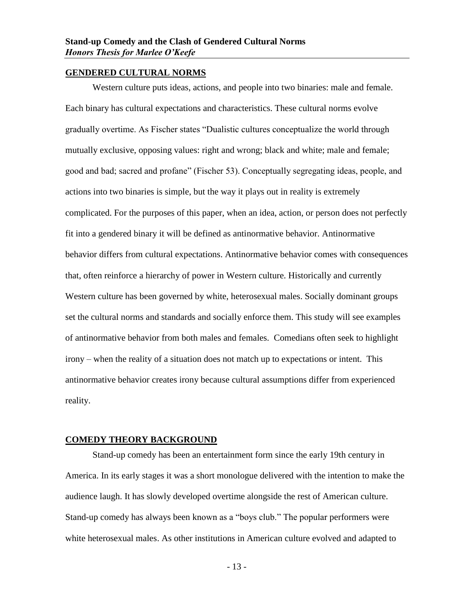#### <span id="page-14-0"></span>**GENDERED CULTURAL NORMS**

Western culture puts ideas, actions, and people into two binaries: male and female. Each binary has cultural expectations and characteristics. These cultural norms evolve gradually overtime. As Fischer states "Dualistic cultures conceptualize the world through mutually exclusive, opposing values: right and wrong; black and white; male and female; good and bad; sacred and profane" (Fischer 53). Conceptually segregating ideas, people, and actions into two binaries is simple, but the way it plays out in reality is extremely complicated. For the purposes of this paper, when an idea, action, or person does not perfectly fit into a gendered binary it will be defined as antinormative behavior. Antinormative behavior differs from cultural expectations. Antinormative behavior comes with consequences that, often reinforce a hierarchy of power in Western culture. Historically and currently Western culture has been governed by white, heterosexual males. Socially dominant groups set the cultural norms and standards and socially enforce them. This study will see examples of antinormative behavior from both males and females. Comedians often seek to highlight irony – when the reality of a situation does not match up to expectations or intent. This antinormative behavior creates irony because cultural assumptions differ from experienced reality.

#### <span id="page-14-1"></span>**COMEDY THEORY BACKGROUND**

Stand-up comedy has been an entertainment form since the early 19th century in America. In its early stages it was a short monologue delivered with the intention to make the audience laugh. It has slowly developed overtime alongside the rest of American culture. Stand-up comedy has always been known as a "boys club." The popular performers were white heterosexual males. As other institutions in American culture evolved and adapted to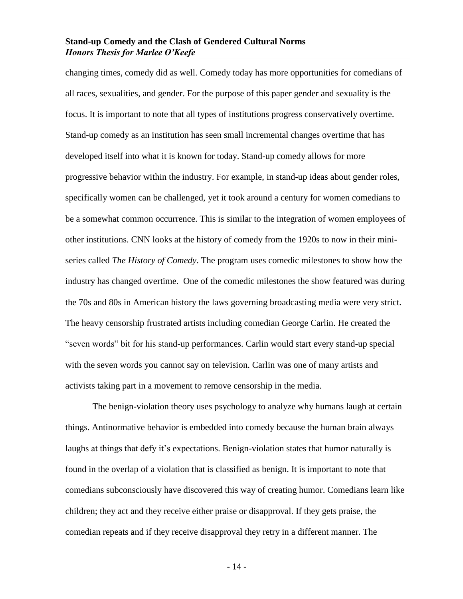changing times, comedy did as well. Comedy today has more opportunities for comedians of all races, sexualities, and gender. For the purpose of this paper gender and sexuality is the focus. It is important to note that all types of institutions progress conservatively overtime. Stand-up comedy as an institution has seen small incremental changes overtime that has developed itself into what it is known for today. Stand-up comedy allows for more progressive behavior within the industry. For example, in stand-up ideas about gender roles, specifically women can be challenged, yet it took around a century for women comedians to be a somewhat common occurrence. This is similar to the integration of women employees of other institutions. CNN looks at the history of comedy from the 1920s to now in their miniseries called *The History of Comedy*. The program uses comedic milestones to show how the industry has changed overtime. One of the comedic milestones the show featured was during the 70s and 80s in American history the laws governing broadcasting media were very strict. The heavy censorship frustrated artists including comedian George Carlin. He created the "seven words" bit for his stand-up performances. Carlin would start every stand-up special with the seven words you cannot say on television. Carlin was one of many artists and activists taking part in a movement to remove censorship in the media.

The benign-violation theory uses psychology to analyze why humans laugh at certain things. Antinormative behavior is embedded into comedy because the human brain always laughs at things that defy it's expectations. Benign-violation states that humor naturally is found in the overlap of a violation that is classified as benign. It is important to note that comedians subconsciously have discovered this way of creating humor. Comedians learn like children; they act and they receive either praise or disapproval. If they gets praise, the comedian repeats and if they receive disapproval they retry in a different manner. The

- 14 -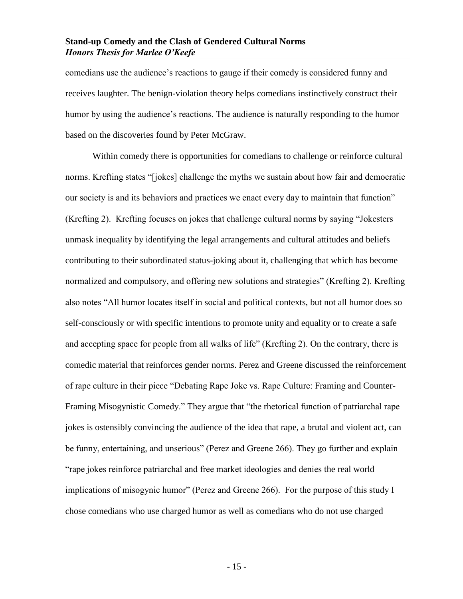comedians use the audience's reactions to gauge if their comedy is considered funny and receives laughter. The benign-violation theory helps comedians instinctively construct their humor by using the audience's reactions. The audience is naturally responding to the humor based on the discoveries found by Peter McGraw.

Within comedy there is opportunities for comedians to challenge or reinforce cultural norms. Krefting states "[jokes] challenge the myths we sustain about how fair and democratic our society is and its behaviors and practices we enact every day to maintain that function" (Krefting 2). Krefting focuses on jokes that challenge cultural norms by saying "Jokesters unmask inequality by identifying the legal arrangements and cultural attitudes and beliefs contributing to their subordinated status-joking about it, challenging that which has become normalized and compulsory, and offering new solutions and strategies" (Krefting 2). Krefting also notes "All humor locates itself in social and political contexts, but not all humor does so self-consciously or with specific intentions to promote unity and equality or to create a safe and accepting space for people from all walks of life" (Krefting 2). On the contrary, there is comedic material that reinforces gender norms. Perez and Greene discussed the reinforcement of rape culture in their piece "Debating Rape Joke vs. Rape Culture: Framing and Counter-Framing Misogynistic Comedy." They argue that "the rhetorical function of patriarchal rape jokes is ostensibly convincing the audience of the idea that rape, a brutal and violent act, can be funny, entertaining, and unserious" (Perez and Greene 266). They go further and explain "rape jokes reinforce patriarchal and free market ideologies and denies the real world implications of misogynic humor" (Perez and Greene 266). For the purpose of this study I chose comedians who use charged humor as well as comedians who do not use charged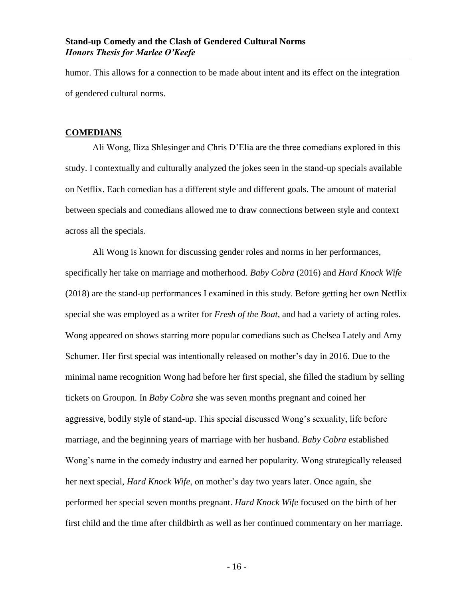humor. This allows for a connection to be made about intent and its effect on the integration of gendered cultural norms.

#### <span id="page-17-0"></span>**COMEDIANS**

Ali Wong, Iliza Shlesinger and Chris D'Elia are the three comedians explored in this study. I contextually and culturally analyzed the jokes seen in the stand-up specials available on Netflix. Each comedian has a different style and different goals. The amount of material between specials and comedians allowed me to draw connections between style and context across all the specials.

Ali Wong is known for discussing gender roles and norms in her performances, specifically her take on marriage and motherhood. *Baby Cobra* (2016) and *Hard Knock Wife* (2018) are the stand-up performances I examined in this study. Before getting her own Netflix special she was employed as a writer for *Fresh of the Boat*, and had a variety of acting roles. Wong appeared on shows starring more popular comedians such as Chelsea Lately and Amy Schumer. Her first special was intentionally released on mother's day in 2016. Due to the minimal name recognition Wong had before her first special, she filled the stadium by selling tickets on Groupon. In *Baby Cobra* she was seven months pregnant and coined her aggressive, bodily style of stand-up. This special discussed Wong's sexuality, life before marriage, and the beginning years of marriage with her husband. *Baby Cobra* established Wong's name in the comedy industry and earned her popularity. Wong strategically released her next special, *Hard Knock Wife*, on mother's day two years later. Once again, she performed her special seven months pregnant. *Hard Knock Wife* focused on the birth of her first child and the time after childbirth as well as her continued commentary on her marriage.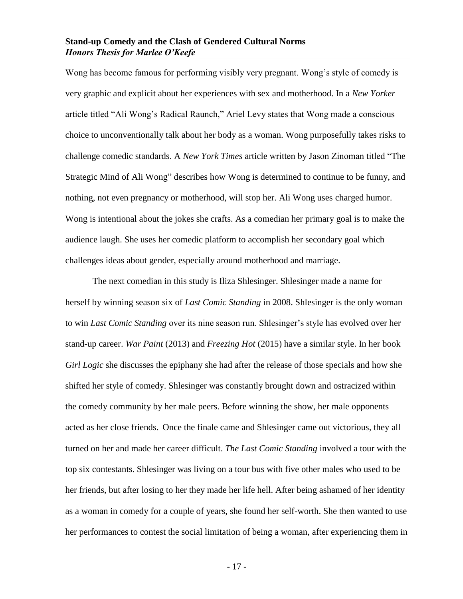Wong has become famous for performing visibly very pregnant. Wong's style of comedy is very graphic and explicit about her experiences with sex and motherhood. In a *New Yorker* article titled "Ali Wong's Radical Raunch," Ariel Levy states that Wong made a conscious choice to unconventionally talk about her body as a woman. Wong purposefully takes risks to challenge comedic standards. A *New York Times* article written by Jason Zinoman titled "The Strategic Mind of Ali Wong" describes how Wong is determined to continue to be funny, and nothing, not even pregnancy or motherhood, will stop her. Ali Wong uses charged humor. Wong is intentional about the jokes she crafts. As a comedian her primary goal is to make the audience laugh. She uses her comedic platform to accomplish her secondary goal which challenges ideas about gender, especially around motherhood and marriage.

The next comedian in this study is Iliza Shlesinger. Shlesinger made a name for herself by winning season six of *Last Comic Standing* in 2008. Shlesinger is the only woman to win *Last Comic Standing* over its nine season run. Shlesinger's style has evolved over her stand-up career. *War Paint* (2013) and *Freezing Hot* (2015) have a similar style. In her book *Girl Logic* she discusses the epiphany she had after the release of those specials and how she shifted her style of comedy. Shlesinger was constantly brought down and ostracized within the comedy community by her male peers. Before winning the show, her male opponents acted as her close friends. Once the finale came and Shlesinger came out victorious, they all turned on her and made her career difficult. *The Last Comic Standing* involved a tour with the top six contestants. Shlesinger was living on a tour bus with five other males who used to be her friends, but after losing to her they made her life hell. After being ashamed of her identity as a woman in comedy for a couple of years, she found her self-worth. She then wanted to use her performances to contest the social limitation of being a woman, after experiencing them in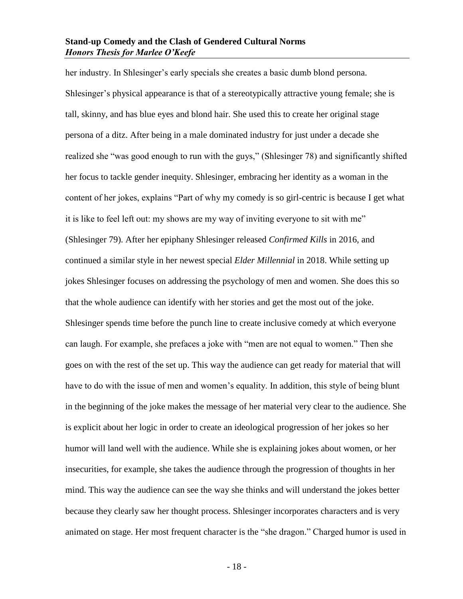her industry. In Shlesinger's early specials she creates a basic dumb blond persona. Shlesinger's physical appearance is that of a stereotypically attractive young female; she is tall, skinny, and has blue eyes and blond hair. She used this to create her original stage persona of a ditz. After being in a male dominated industry for just under a decade she realized she "was good enough to run with the guys," (Shlesinger 78) and significantly shifted her focus to tackle gender inequity. Shlesinger, embracing her identity as a woman in the content of her jokes, explains "Part of why my comedy is so girl-centric is because I get what it is like to feel left out: my shows are my way of inviting everyone to sit with me" (Shlesinger 79). After her epiphany Shlesinger released *Confirmed Kills* in 2016, and continued a similar style in her newest special *Elder Millennial* in 2018. While setting up jokes Shlesinger focuses on addressing the psychology of men and women. She does this so that the whole audience can identify with her stories and get the most out of the joke. Shlesinger spends time before the punch line to create inclusive comedy at which everyone can laugh. For example, she prefaces a joke with "men are not equal to women." Then she goes on with the rest of the set up. This way the audience can get ready for material that will have to do with the issue of men and women's equality. In addition, this style of being blunt in the beginning of the joke makes the message of her material very clear to the audience. She is explicit about her logic in order to create an ideological progression of her jokes so her humor will land well with the audience. While she is explaining jokes about women, or her insecurities, for example, she takes the audience through the progression of thoughts in her mind. This way the audience can see the way she thinks and will understand the jokes better because they clearly saw her thought process. Shlesinger incorporates characters and is very animated on stage. Her most frequent character is the "she dragon." Charged humor is used in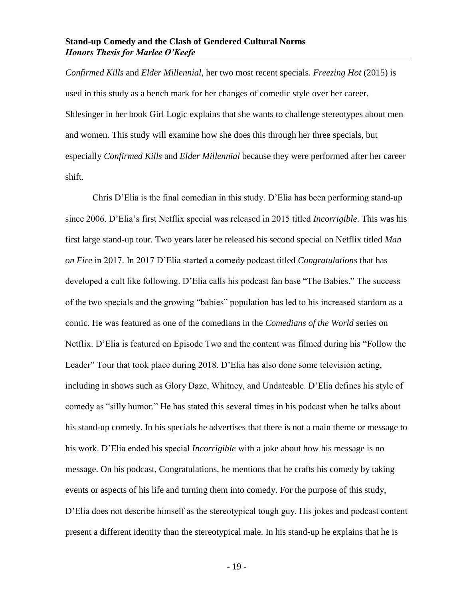*Confirmed Kills* and *Elder Millennial*, her two most recent specials. *Freezing Hot* (2015) is used in this study as a bench mark for her changes of comedic style over her career. Shlesinger in her book Girl Logic explains that she wants to challenge stereotypes about men and women. This study will examine how she does this through her three specials, but especially *Confirmed Kills* and *Elder Millennial* because they were performed after her career shift.

Chris D'Elia is the final comedian in this study. D'Elia has been performing stand-up since 2006. D'Elia's first Netflix special was released in 2015 titled *Incorrigible*. This was his first large stand-up tour. Two years later he released his second special on Netflix titled *Man on Fire* in 2017. In 2017 D'Elia started a comedy podcast titled *Congratulations* that has developed a cult like following. D'Elia calls his podcast fan base "The Babies." The success of the two specials and the growing "babies" population has led to his increased stardom as a comic. He was featured as one of the comedians in the *Comedians of the World* series on Netflix. D'Elia is featured on Episode Two and the content was filmed during his "Follow the Leader" Tour that took place during 2018. D'Elia has also done some television acting, including in shows such as Glory Daze, Whitney, and Undateable. D'Elia defines his style of comedy as "silly humor." He has stated this several times in his podcast when he talks about his stand-up comedy. In his specials he advertises that there is not a main theme or message to his work. D'Elia ended his special *Incorrigible* with a joke about how his message is no message. On his podcast, Congratulations, he mentions that he crafts his comedy by taking events or aspects of his life and turning them into comedy. For the purpose of this study, D'Elia does not describe himself as the stereotypical tough guy. His jokes and podcast content present a different identity than the stereotypical male. In his stand-up he explains that he is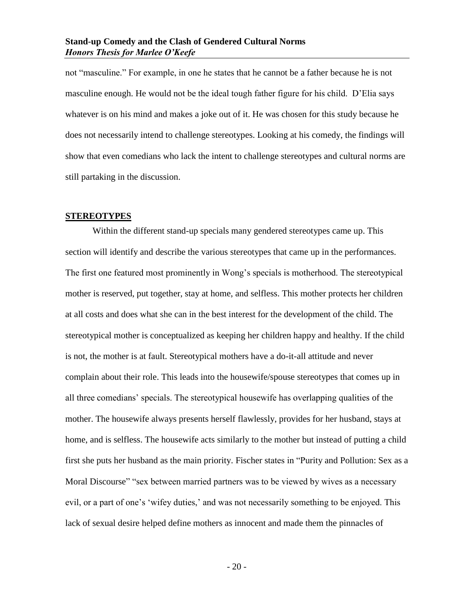not "masculine." For example, in one he states that he cannot be a father because he is not masculine enough. He would not be the ideal tough father figure for his child. D'Elia says whatever is on his mind and makes a joke out of it. He was chosen for this study because he does not necessarily intend to challenge stereotypes. Looking at his comedy, the findings will show that even comedians who lack the intent to challenge stereotypes and cultural norms are still partaking in the discussion.

#### <span id="page-21-0"></span>**STEREOTYPES**

Within the different stand-up specials many gendered stereotypes came up. This section will identify and describe the various stereotypes that came up in the performances. The first one featured most prominently in Wong's specials is motherhood. The stereotypical mother is reserved, put together, stay at home, and selfless. This mother protects her children at all costs and does what she can in the best interest for the development of the child. The stereotypical mother is conceptualized as keeping her children happy and healthy. If the child is not, the mother is at fault. Stereotypical mothers have a do-it-all attitude and never complain about their role. This leads into the housewife/spouse stereotypes that comes up in all three comedians' specials. The stereotypical housewife has overlapping qualities of the mother. The housewife always presents herself flawlessly, provides for her husband, stays at home, and is selfless. The housewife acts similarly to the mother but instead of putting a child first she puts her husband as the main priority. Fischer states in "Purity and Pollution: Sex as a Moral Discourse" "sex between married partners was to be viewed by wives as a necessary evil, or a part of one's 'wifey duties,' and was not necessarily something to be enjoyed. This lack of sexual desire helped define mothers as innocent and made them the pinnacles of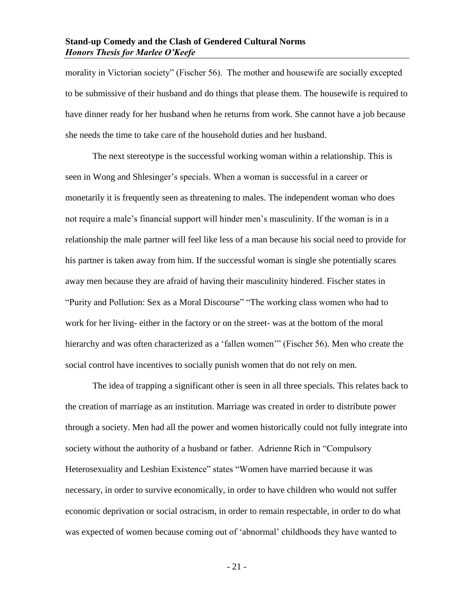morality in Victorian society" (Fischer 56). The mother and housewife are socially excepted to be submissive of their husband and do things that please them. The housewife is required to have dinner ready for her husband when he returns from work. She cannot have a job because she needs the time to take care of the household duties and her husband.

The next stereotype is the successful working woman within a relationship. This is seen in Wong and Shlesinger's specials. When a woman is successful in a career or monetarily it is frequently seen as threatening to males. The independent woman who does not require a male's financial support will hinder men's masculinity. If the woman is in a relationship the male partner will feel like less of a man because his social need to provide for his partner is taken away from him. If the successful woman is single she potentially scares away men because they are afraid of having their masculinity hindered. Fischer states in "Purity and Pollution: Sex as a Moral Discourse" "The working class women who had to work for her living- either in the factory or on the street- was at the bottom of the moral hierarchy and was often characterized as a 'fallen women'" (Fischer 56). Men who create the social control have incentives to socially punish women that do not rely on men.

The idea of trapping a significant other is seen in all three specials. This relates back to the creation of marriage as an institution. Marriage was created in order to distribute power through a society. Men had all the power and women historically could not fully integrate into society without the authority of a husband or father. Adrienne Rich in "Compulsory Heterosexuality and Lesbian Existence" states "Women have married because it was necessary, in order to survive economically, in order to have children who would not suffer economic deprivation or social ostracism, in order to remain respectable, in order to do what was expected of women because coming out of 'abnormal' childhoods they have wanted to

- 21 -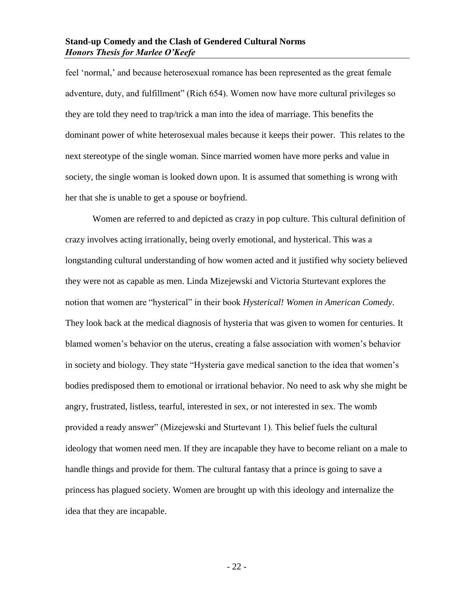feel 'normal,' and because heterosexual romance has been represented as the great female adventure, duty, and fulfillment" (Rich 654). Women now have more cultural privileges so they are told they need to trap/trick a man into the idea of marriage. This benefits the dominant power of white heterosexual males because it keeps their power. This relates to the next stereotype of the single woman. Since married women have more perks and value in society, the single woman is looked down upon. It is assumed that something is wrong with her that she is unable to get a spouse or boyfriend.

Women are referred to and depicted as crazy in pop culture. This cultural definition of crazy involves acting irrationally, being overly emotional, and hysterical. This was a longstanding cultural understanding of how women acted and it justified why society believed they were not as capable as men. Linda Mizejewski and Victoria Sturtevant explores the notion that women are "hysterical" in their book *Hysterical! Women in American Comedy*. They look back at the medical diagnosis of hysteria that was given to women for centuries. It blamed women's behavior on the uterus, creating a false association with women's behavior in society and biology. They state "Hysteria gave medical sanction to the idea that women's bodies predisposed them to emotional or irrational behavior. No need to ask why she might be angry, frustrated, listless, tearful, interested in sex, or not interested in sex. The womb provided a ready answer" (Mizejewski and Sturtevant 1). This belief fuels the cultural ideology that women need men. If they are incapable they have to become reliant on a male to handle things and provide for them. The cultural fantasy that a prince is going to save a princess has plagued society. Women are brought up with this ideology and internalize the idea that they are incapable.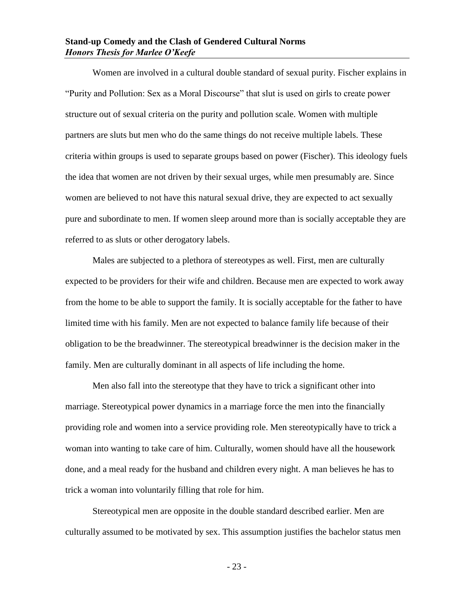Women are involved in a cultural double standard of sexual purity. Fischer explains in "Purity and Pollution: Sex as a Moral Discourse" that slut is used on girls to create power structure out of sexual criteria on the purity and pollution scale. Women with multiple partners are sluts but men who do the same things do not receive multiple labels. These criteria within groups is used to separate groups based on power (Fischer). This ideology fuels the idea that women are not driven by their sexual urges, while men presumably are. Since women are believed to not have this natural sexual drive, they are expected to act sexually pure and subordinate to men. If women sleep around more than is socially acceptable they are referred to as sluts or other derogatory labels.

Males are subjected to a plethora of stereotypes as well. First, men are culturally expected to be providers for their wife and children. Because men are expected to work away from the home to be able to support the family. It is socially acceptable for the father to have limited time with his family. Men are not expected to balance family life because of their obligation to be the breadwinner. The stereotypical breadwinner is the decision maker in the family. Men are culturally dominant in all aspects of life including the home.

Men also fall into the stereotype that they have to trick a significant other into marriage. Stereotypical power dynamics in a marriage force the men into the financially providing role and women into a service providing role. Men stereotypically have to trick a woman into wanting to take care of him. Culturally, women should have all the housework done, and a meal ready for the husband and children every night. A man believes he has to trick a woman into voluntarily filling that role for him.

Stereotypical men are opposite in the double standard described earlier. Men are culturally assumed to be motivated by sex. This assumption justifies the bachelor status men

- 23 -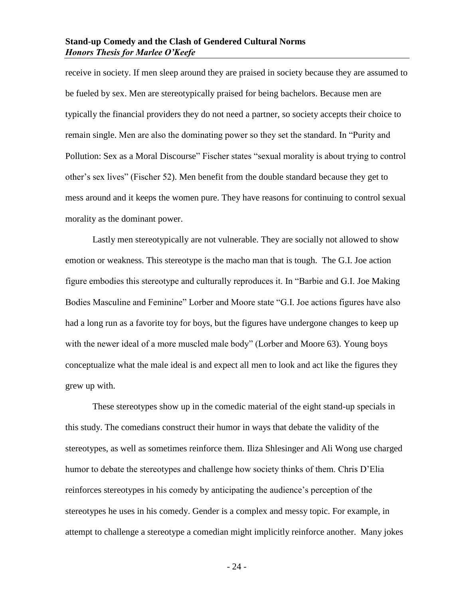receive in society. If men sleep around they are praised in society because they are assumed to be fueled by sex. Men are stereotypically praised for being bachelors. Because men are typically the financial providers they do not need a partner, so society accepts their choice to remain single. Men are also the dominating power so they set the standard. In "Purity and Pollution: Sex as a Moral Discourse" Fischer states "sexual morality is about trying to control other's sex lives" (Fischer 52). Men benefit from the double standard because they get to mess around and it keeps the women pure. They have reasons for continuing to control sexual morality as the dominant power.

Lastly men stereotypically are not vulnerable. They are socially not allowed to show emotion or weakness. This stereotype is the macho man that is tough. The G.I. Joe action figure embodies this stereotype and culturally reproduces it. In "Barbie and G.I. Joe Making Bodies Masculine and Feminine" Lorber and Moore state "G.I. Joe actions figures have also had a long run as a favorite toy for boys, but the figures have undergone changes to keep up with the newer ideal of a more muscled male body" (Lorber and Moore 63). Young boys conceptualize what the male ideal is and expect all men to look and act like the figures they grew up with.

These stereotypes show up in the comedic material of the eight stand-up specials in this study. The comedians construct their humor in ways that debate the validity of the stereotypes, as well as sometimes reinforce them. Iliza Shlesinger and Ali Wong use charged humor to debate the stereotypes and challenge how society thinks of them. Chris D'Elia reinforces stereotypes in his comedy by anticipating the audience's perception of the stereotypes he uses in his comedy. Gender is a complex and messy topic. For example, in attempt to challenge a stereotype a comedian might implicitly reinforce another. Many jokes

- 24 -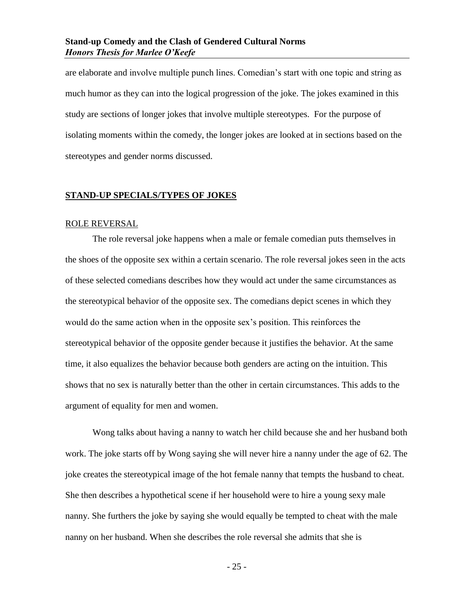are elaborate and involve multiple punch lines. Comedian's start with one topic and string as much humor as they can into the logical progression of the joke. The jokes examined in this study are sections of longer jokes that involve multiple stereotypes. For the purpose of isolating moments within the comedy, the longer jokes are looked at in sections based on the stereotypes and gender norms discussed.

#### <span id="page-26-1"></span><span id="page-26-0"></span>**STAND-UP SPECIALS/TYPES OF JOKES**

#### ROLE REVERSAL

The role reversal joke happens when a male or female comedian puts themselves in the shoes of the opposite sex within a certain scenario. The role reversal jokes seen in the acts of these selected comedians describes how they would act under the same circumstances as the stereotypical behavior of the opposite sex. The comedians depict scenes in which they would do the same action when in the opposite sex's position. This reinforces the stereotypical behavior of the opposite gender because it justifies the behavior. At the same time, it also equalizes the behavior because both genders are acting on the intuition. This shows that no sex is naturally better than the other in certain circumstances. This adds to the argument of equality for men and women.

Wong talks about having a nanny to watch her child because she and her husband both work. The joke starts off by Wong saying she will never hire a nanny under the age of 62. The joke creates the stereotypical image of the hot female nanny that tempts the husband to cheat. She then describes a hypothetical scene if her household were to hire a young sexy male nanny. She furthers the joke by saying she would equally be tempted to cheat with the male nanny on her husband. When she describes the role reversal she admits that she is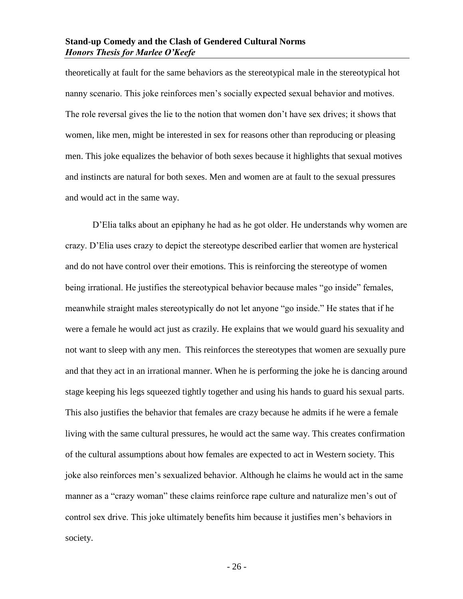theoretically at fault for the same behaviors as the stereotypical male in the stereotypical hot nanny scenario. This joke reinforces men's socially expected sexual behavior and motives. The role reversal gives the lie to the notion that women don't have sex drives; it shows that women, like men, might be interested in sex for reasons other than reproducing or pleasing men. This joke equalizes the behavior of both sexes because it highlights that sexual motives and instincts are natural for both sexes. Men and women are at fault to the sexual pressures and would act in the same way.

D'Elia talks about an epiphany he had as he got older. He understands why women are crazy. D'Elia uses crazy to depict the stereotype described earlier that women are hysterical and do not have control over their emotions. This is reinforcing the stereotype of women being irrational. He justifies the stereotypical behavior because males "go inside" females, meanwhile straight males stereotypically do not let anyone "go inside." He states that if he were a female he would act just as crazily. He explains that we would guard his sexuality and not want to sleep with any men. This reinforces the stereotypes that women are sexually pure and that they act in an irrational manner. When he is performing the joke he is dancing around stage keeping his legs squeezed tightly together and using his hands to guard his sexual parts. This also justifies the behavior that females are crazy because he admits if he were a female living with the same cultural pressures, he would act the same way. This creates confirmation of the cultural assumptions about how females are expected to act in Western society. This joke also reinforces men's sexualized behavior. Although he claims he would act in the same manner as a "crazy woman" these claims reinforce rape culture and naturalize men's out of control sex drive. This joke ultimately benefits him because it justifies men's behaviors in society.

- 26 -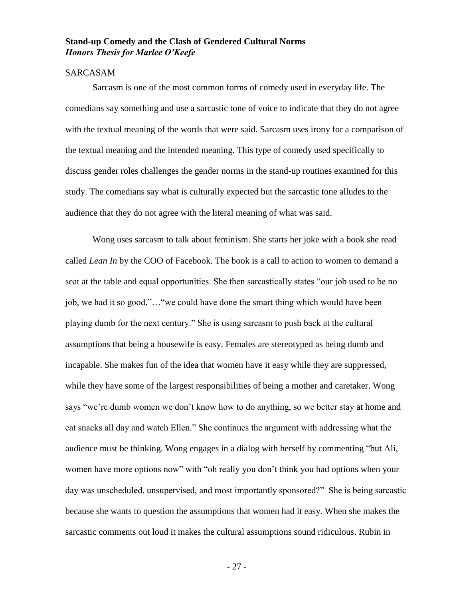#### <span id="page-28-0"></span>SARCASAM

Sarcasm is one of the most common forms of comedy used in everyday life. The comedians say something and use a sarcastic tone of voice to indicate that they do not agree with the textual meaning of the words that were said. Sarcasm uses irony for a comparison of the textual meaning and the intended meaning. This type of comedy used specifically to discuss gender roles challenges the gender norms in the stand-up routines examined for this study. The comedians say what is culturally expected but the sarcastic tone alludes to the audience that they do not agree with the literal meaning of what was said.

Wong uses sarcasm to talk about feminism. She starts her joke with a book she read called *Lean In* by the COO of Facebook. The book is a call to action to women to demand a seat at the table and equal opportunities. She then sarcastically states "our job used to be no job, we had it so good,"…"we could have done the smart thing which would have been playing dumb for the next century." She is using sarcasm to push back at the cultural assumptions that being a housewife is easy. Females are stereotyped as being dumb and incapable. She makes fun of the idea that women have it easy while they are suppressed, while they have some of the largest responsibilities of being a mother and caretaker. Wong says "we're dumb women we don't know how to do anything, so we better stay at home and eat snacks all day and watch Ellen." She continues the argument with addressing what the audience must be thinking. Wong engages in a dialog with herself by commenting "but Ali, women have more options now" with "oh really you don't think you had options when your day was unscheduled, unsupervised, and most importantly sponsored?" She is being sarcastic because she wants to question the assumptions that women had it easy. When she makes the sarcastic comments out loud it makes the cultural assumptions sound ridiculous. Rubin in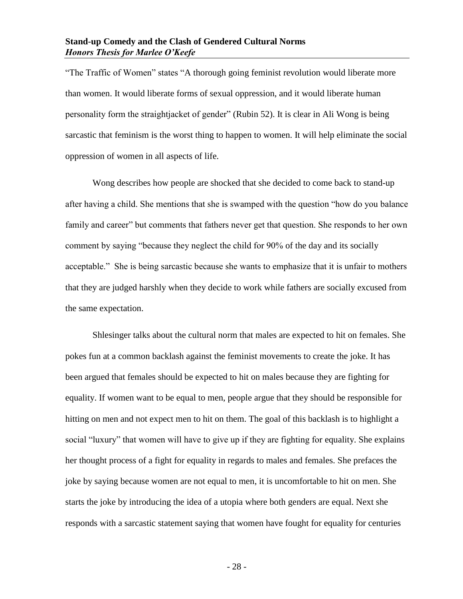"The Traffic of Women" states "A thorough going feminist revolution would liberate more than women. It would liberate forms of sexual oppression, and it would liberate human personality form the straightjacket of gender" (Rubin 52). It is clear in Ali Wong is being sarcastic that feminism is the worst thing to happen to women. It will help eliminate the social oppression of women in all aspects of life.

Wong describes how people are shocked that she decided to come back to stand-up after having a child. She mentions that she is swamped with the question "how do you balance family and career" but comments that fathers never get that question. She responds to her own comment by saying "because they neglect the child for 90% of the day and its socially acceptable." She is being sarcastic because she wants to emphasize that it is unfair to mothers that they are judged harshly when they decide to work while fathers are socially excused from the same expectation.

Shlesinger talks about the cultural norm that males are expected to hit on females. She pokes fun at a common backlash against the feminist movements to create the joke. It has been argued that females should be expected to hit on males because they are fighting for equality. If women want to be equal to men, people argue that they should be responsible for hitting on men and not expect men to hit on them. The goal of this backlash is to highlight a social "luxury" that women will have to give up if they are fighting for equality. She explains her thought process of a fight for equality in regards to males and females. She prefaces the joke by saying because women are not equal to men, it is uncomfortable to hit on men. She starts the joke by introducing the idea of a utopia where both genders are equal. Next she responds with a sarcastic statement saying that women have fought for equality for centuries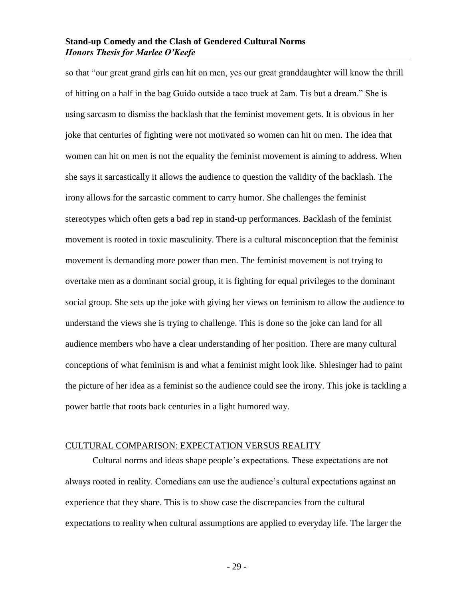so that "our great grand girls can hit on men, yes our great granddaughter will know the thrill of hitting on a half in the bag Guido outside a taco truck at 2am. Tis but a dream." She is using sarcasm to dismiss the backlash that the feminist movement gets. It is obvious in her joke that centuries of fighting were not motivated so women can hit on men. The idea that women can hit on men is not the equality the feminist movement is aiming to address. When she says it sarcastically it allows the audience to question the validity of the backlash. The irony allows for the sarcastic comment to carry humor. She challenges the feminist stereotypes which often gets a bad rep in stand-up performances. Backlash of the feminist movement is rooted in toxic masculinity. There is a cultural misconception that the feminist movement is demanding more power than men. The feminist movement is not trying to overtake men as a dominant social group, it is fighting for equal privileges to the dominant social group. She sets up the joke with giving her views on feminism to allow the audience to understand the views she is trying to challenge. This is done so the joke can land for all audience members who have a clear understanding of her position. There are many cultural conceptions of what feminism is and what a feminist might look like. Shlesinger had to paint the picture of her idea as a feminist so the audience could see the irony. This joke is tackling a power battle that roots back centuries in a light humored way.

#### <span id="page-30-0"></span>CULTURAL COMPARISON: EXPECTATION VERSUS REALITY

Cultural norms and ideas shape people's expectations. These expectations are not always rooted in reality. Comedians can use the audience's cultural expectations against an experience that they share. This is to show case the discrepancies from the cultural expectations to reality when cultural assumptions are applied to everyday life. The larger the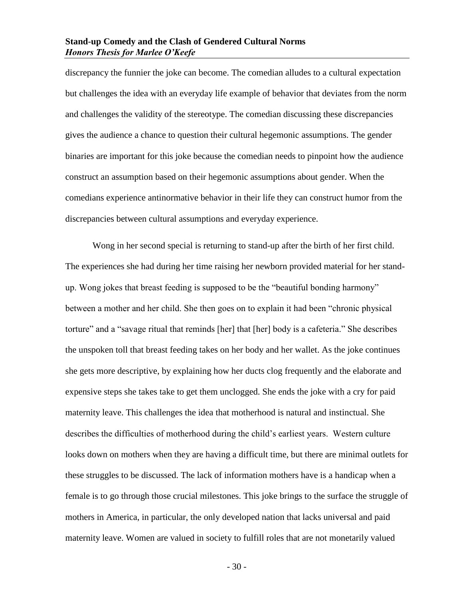discrepancy the funnier the joke can become. The comedian alludes to a cultural expectation but challenges the idea with an everyday life example of behavior that deviates from the norm and challenges the validity of the stereotype. The comedian discussing these discrepancies gives the audience a chance to question their cultural hegemonic assumptions. The gender binaries are important for this joke because the comedian needs to pinpoint how the audience construct an assumption based on their hegemonic assumptions about gender. When the comedians experience antinormative behavior in their life they can construct humor from the discrepancies between cultural assumptions and everyday experience.

Wong in her second special is returning to stand-up after the birth of her first child. The experiences she had during her time raising her newborn provided material for her standup. Wong jokes that breast feeding is supposed to be the "beautiful bonding harmony" between a mother and her child. She then goes on to explain it had been "chronic physical torture" and a "savage ritual that reminds [her] that [her] body is a cafeteria." She describes the unspoken toll that breast feeding takes on her body and her wallet. As the joke continues she gets more descriptive, by explaining how her ducts clog frequently and the elaborate and expensive steps she takes take to get them unclogged. She ends the joke with a cry for paid maternity leave. This challenges the idea that motherhood is natural and instinctual. She describes the difficulties of motherhood during the child's earliest years. Western culture looks down on mothers when they are having a difficult time, but there are minimal outlets for these struggles to be discussed. The lack of information mothers have is a handicap when a female is to go through those crucial milestones. This joke brings to the surface the struggle of mothers in America, in particular, the only developed nation that lacks universal and paid maternity leave. Women are valued in society to fulfill roles that are not monetarily valued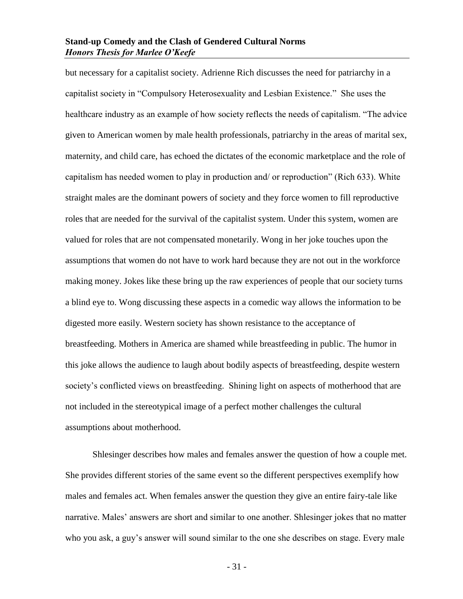but necessary for a capitalist society. Adrienne Rich discusses the need for patriarchy in a capitalist society in "Compulsory Heterosexuality and Lesbian Existence." She uses the healthcare industry as an example of how society reflects the needs of capitalism. "The advice given to American women by male health professionals, patriarchy in the areas of marital sex, maternity, and child care, has echoed the dictates of the economic marketplace and the role of capitalism has needed women to play in production and/ or reproduction" (Rich 633). White straight males are the dominant powers of society and they force women to fill reproductive roles that are needed for the survival of the capitalist system. Under this system, women are valued for roles that are not compensated monetarily. Wong in her joke touches upon the assumptions that women do not have to work hard because they are not out in the workforce making money. Jokes like these bring up the raw experiences of people that our society turns a blind eye to. Wong discussing these aspects in a comedic way allows the information to be digested more easily. Western society has shown resistance to the acceptance of breastfeeding. Mothers in America are shamed while breastfeeding in public. The humor in this joke allows the audience to laugh about bodily aspects of breastfeeding, despite western society's conflicted views on breastfeeding. Shining light on aspects of motherhood that are not included in the stereotypical image of a perfect mother challenges the cultural assumptions about motherhood.

Shlesinger describes how males and females answer the question of how a couple met. She provides different stories of the same event so the different perspectives exemplify how males and females act. When females answer the question they give an entire fairy-tale like narrative. Males' answers are short and similar to one another. Shlesinger jokes that no matter who you ask, a guy's answer will sound similar to the one she describes on stage. Every male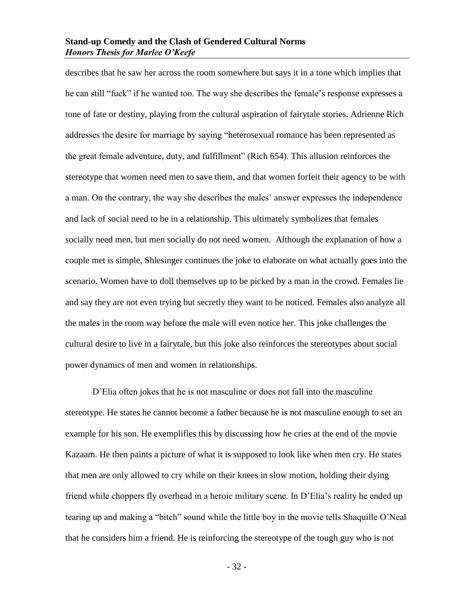describes that he saw her across the room somewhere but says it in a tone which implies that he can still "fuck" if he wanted too. The way she describes the female's response expresses a tone of fate or destiny, playing from the cultural aspiration of fairytale stories. Adrienne Rich addresses the desire for marriage by saying "heterosexual romance has been represented as the great female adventure, duty, and fulfillment" (Rich 654). This allusion reinforces the stereotype that women need men to save them, and that women forfeit their agency to be with a man. On the contrary, the way she describes the males' answer expresses the independence and lack of social need to be in a relationship. This ultimately symbolizes that females socially need men, but men socially do not need women. Although the explanation of how a couple met is simple, Shlesinger continues the joke to elaborate on what actually goes into the scenario. Women have to doll themselves up to be picked by a man in the crowd. Females lie and say they are not even trying but secretly they want to be noticed. Females also analyze all the males in the room way before the male will even notice her. This joke challenges the cultural desire to live in a fairytale, but this joke also reinforces the stereotypes about social power dynamics of men and women in relationships.

D'Elia often jokes that he is not masculine or does not fall into the masculine stereotype. He states he cannot become a father because he is not masculine enough to set an example for his son. He exemplifies this by discussing how he cries at the end of the movie Kazaam. He then paints a picture of what it is supposed to look like when men cry. He states that men are only allowed to cry while on their knees in slow motion, holding their dying friend while choppers fly overhead in a heroic military scene. In D'Elia's reality he ended up tearing up and making a "bitch" sound while the little boy in the movie tells Shaquille O'Neal that he considers him a friend. He is reinforcing the stereotype of the tough guy who is not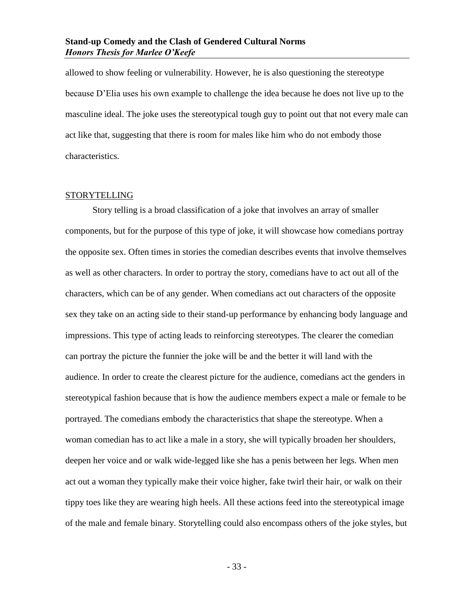allowed to show feeling or vulnerability. However, he is also questioning the stereotype because D'Elia uses his own example to challenge the idea because he does not live up to the masculine ideal. The joke uses the stereotypical tough guy to point out that not every male can act like that, suggesting that there is room for males like him who do not embody those characteristics.

#### <span id="page-34-0"></span>STORYTELLING

Story telling is a broad classification of a joke that involves an array of smaller components, but for the purpose of this type of joke, it will showcase how comedians portray the opposite sex. Often times in stories the comedian describes events that involve themselves as well as other characters. In order to portray the story, comedians have to act out all of the characters, which can be of any gender. When comedians act out characters of the opposite sex they take on an acting side to their stand-up performance by enhancing body language and impressions. This type of acting leads to reinforcing stereotypes. The clearer the comedian can portray the picture the funnier the joke will be and the better it will land with the audience. In order to create the clearest picture for the audience, comedians act the genders in stereotypical fashion because that is how the audience members expect a male or female to be portrayed. The comedians embody the characteristics that shape the stereotype. When a woman comedian has to act like a male in a story, she will typically broaden her shoulders, deepen her voice and or walk wide-legged like she has a penis between her legs. When men act out a woman they typically make their voice higher, fake twirl their hair, or walk on their tippy toes like they are wearing high heels. All these actions feed into the stereotypical image of the male and female binary. Storytelling could also encompass others of the joke styles, but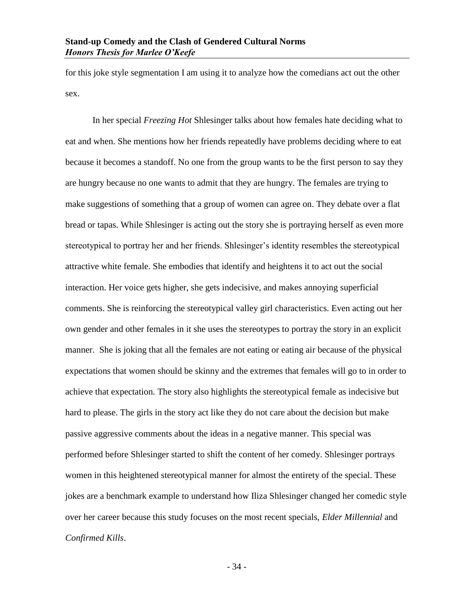for this joke style segmentation I am using it to analyze how the comedians act out the other sex.

In her special *Freezing Hot* Shlesinger talks about how females hate deciding what to eat and when. She mentions how her friends repeatedly have problems deciding where to eat because it becomes a standoff. No one from the group wants to be the first person to say they are hungry because no one wants to admit that they are hungry. The females are trying to make suggestions of something that a group of women can agree on. They debate over a flat bread or tapas. While Shlesinger is acting out the story she is portraying herself as even more stereotypical to portray her and her friends. Shlesinger's identity resembles the stereotypical attractive white female. She embodies that identify and heightens it to act out the social interaction. Her voice gets higher, she gets indecisive, and makes annoying superficial comments. She is reinforcing the stereotypical valley girl characteristics. Even acting out her own gender and other females in it she uses the stereotypes to portray the story in an explicit manner. She is joking that all the females are not eating or eating air because of the physical expectations that women should be skinny and the extremes that females will go to in order to achieve that expectation. The story also highlights the stereotypical female as indecisive but hard to please. The girls in the story act like they do not care about the decision but make passive aggressive comments about the ideas in a negative manner. This special was performed before Shlesinger started to shift the content of her comedy. Shlesinger portrays women in this heightened stereotypical manner for almost the entirety of the special. These jokes are a benchmark example to understand how Iliza Shlesinger changed her comedic style over her career because this study focuses on the most recent specials, *Elder Millennial* and *Confirmed Kills*.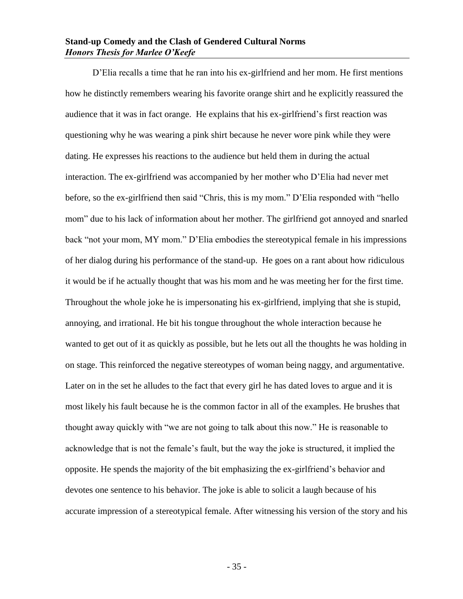D'Elia recalls a time that he ran into his ex-girlfriend and her mom. He first mentions how he distinctly remembers wearing his favorite orange shirt and he explicitly reassured the audience that it was in fact orange. He explains that his ex-girlfriend's first reaction was questioning why he was wearing a pink shirt because he never wore pink while they were dating. He expresses his reactions to the audience but held them in during the actual interaction. The ex-girlfriend was accompanied by her mother who D'Elia had never met before, so the ex-girlfriend then said "Chris, this is my mom." D'Elia responded with "hello mom" due to his lack of information about her mother. The girlfriend got annoyed and snarled back "not your mom, MY mom." D'Elia embodies the stereotypical female in his impressions of her dialog during his performance of the stand-up. He goes on a rant about how ridiculous it would be if he actually thought that was his mom and he was meeting her for the first time. Throughout the whole joke he is impersonating his ex-girlfriend, implying that she is stupid, annoying, and irrational. He bit his tongue throughout the whole interaction because he wanted to get out of it as quickly as possible, but he lets out all the thoughts he was holding in on stage. This reinforced the negative stereotypes of woman being naggy, and argumentative. Later on in the set he alludes to the fact that every girl he has dated loves to argue and it is most likely his fault because he is the common factor in all of the examples. He brushes that thought away quickly with "we are not going to talk about this now." He is reasonable to acknowledge that is not the female's fault, but the way the joke is structured, it implied the opposite. He spends the majority of the bit emphasizing the ex-girlfriend's behavior and devotes one sentence to his behavior. The joke is able to solicit a laugh because of his accurate impression of a stereotypical female. After witnessing his version of the story and his

- 35 -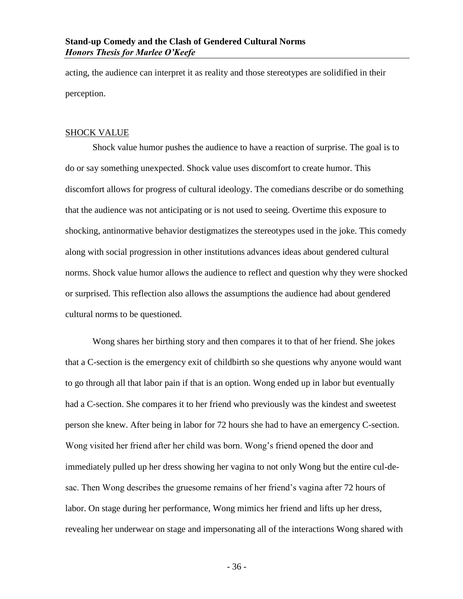acting, the audience can interpret it as reality and those stereotypes are solidified in their perception.

#### <span id="page-37-0"></span>SHOCK VALUE

Shock value humor pushes the audience to have a reaction of surprise. The goal is to do or say something unexpected. Shock value uses discomfort to create humor. This discomfort allows for progress of cultural ideology. The comedians describe or do something that the audience was not anticipating or is not used to seeing. Overtime this exposure to shocking, antinormative behavior destigmatizes the stereotypes used in the joke. This comedy along with social progression in other institutions advances ideas about gendered cultural norms. Shock value humor allows the audience to reflect and question why they were shocked or surprised. This reflection also allows the assumptions the audience had about gendered cultural norms to be questioned.

Wong shares her birthing story and then compares it to that of her friend. She jokes that a C-section is the emergency exit of childbirth so she questions why anyone would want to go through all that labor pain if that is an option. Wong ended up in labor but eventually had a C-section. She compares it to her friend who previously was the kindest and sweetest person she knew. After being in labor for 72 hours she had to have an emergency C-section. Wong visited her friend after her child was born. Wong's friend opened the door and immediately pulled up her dress showing her vagina to not only Wong but the entire cul-desac. Then Wong describes the gruesome remains of her friend's vagina after 72 hours of labor. On stage during her performance, Wong mimics her friend and lifts up her dress, revealing her underwear on stage and impersonating all of the interactions Wong shared with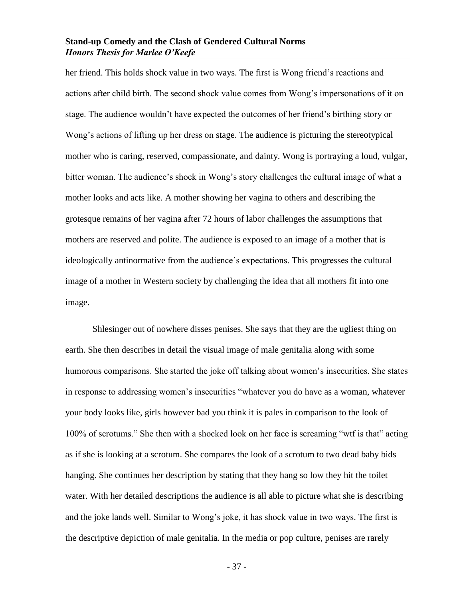her friend. This holds shock value in two ways. The first is Wong friend's reactions and actions after child birth. The second shock value comes from Wong's impersonations of it on stage. The audience wouldn't have expected the outcomes of her friend's birthing story or Wong's actions of lifting up her dress on stage. The audience is picturing the stereotypical mother who is caring, reserved, compassionate, and dainty. Wong is portraying a loud, vulgar, bitter woman. The audience's shock in Wong's story challenges the cultural image of what a mother looks and acts like. A mother showing her vagina to others and describing the grotesque remains of her vagina after 72 hours of labor challenges the assumptions that mothers are reserved and polite. The audience is exposed to an image of a mother that is ideologically antinormative from the audience's expectations. This progresses the cultural image of a mother in Western society by challenging the idea that all mothers fit into one image.

Shlesinger out of nowhere disses penises. She says that they are the ugliest thing on earth. She then describes in detail the visual image of male genitalia along with some humorous comparisons. She started the joke off talking about women's insecurities. She states in response to addressing women's insecurities "whatever you do have as a woman, whatever your body looks like, girls however bad you think it is pales in comparison to the look of 100% of scrotums." She then with a shocked look on her face is screaming "wtf is that" acting as if she is looking at a scrotum. She compares the look of a scrotum to two dead baby bids hanging. She continues her description by stating that they hang so low they hit the toilet water. With her detailed descriptions the audience is all able to picture what she is describing and the joke lands well. Similar to Wong's joke, it has shock value in two ways. The first is the descriptive depiction of male genitalia. In the media or pop culture, penises are rarely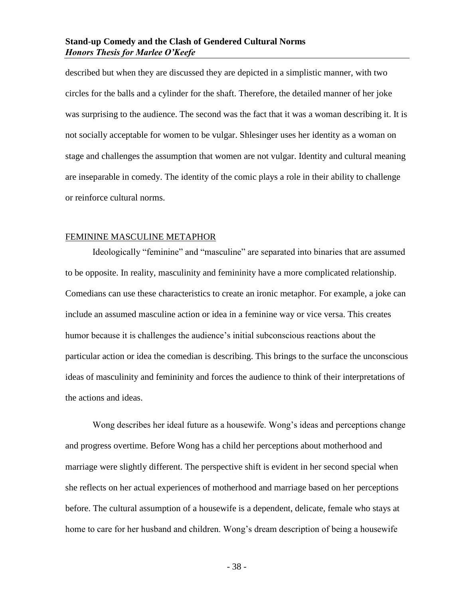described but when they are discussed they are depicted in a simplistic manner, with two circles for the balls and a cylinder for the shaft. Therefore, the detailed manner of her joke was surprising to the audience. The second was the fact that it was a woman describing it. It is not socially acceptable for women to be vulgar. Shlesinger uses her identity as a woman on stage and challenges the assumption that women are not vulgar. Identity and cultural meaning are inseparable in comedy. The identity of the comic plays a role in their ability to challenge or reinforce cultural norms.

# <span id="page-39-0"></span>FEMININE MASCULINE METAPHOR

Ideologically "feminine" and "masculine" are separated into binaries that are assumed to be opposite. In reality, masculinity and femininity have a more complicated relationship. Comedians can use these characteristics to create an ironic metaphor. For example, a joke can include an assumed masculine action or idea in a feminine way or vice versa. This creates humor because it is challenges the audience's initial subconscious reactions about the particular action or idea the comedian is describing. This brings to the surface the unconscious ideas of masculinity and femininity and forces the audience to think of their interpretations of the actions and ideas.

Wong describes her ideal future as a housewife. Wong's ideas and perceptions change and progress overtime. Before Wong has a child her perceptions about motherhood and marriage were slightly different. The perspective shift is evident in her second special when she reflects on her actual experiences of motherhood and marriage based on her perceptions before. The cultural assumption of a housewife is a dependent, delicate, female who stays at home to care for her husband and children. Wong's dream description of being a housewife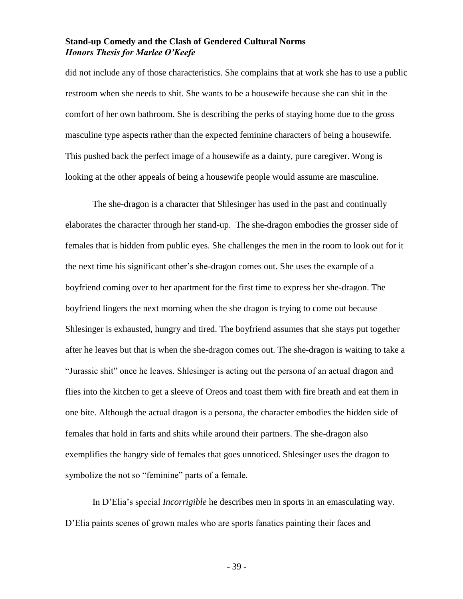did not include any of those characteristics. She complains that at work she has to use a public restroom when she needs to shit. She wants to be a housewife because she can shit in the comfort of her own bathroom. She is describing the perks of staying home due to the gross masculine type aspects rather than the expected feminine characters of being a housewife. This pushed back the perfect image of a housewife as a dainty, pure caregiver. Wong is looking at the other appeals of being a housewife people would assume are masculine.

The she-dragon is a character that Shlesinger has used in the past and continually elaborates the character through her stand-up. The she-dragon embodies the grosser side of females that is hidden from public eyes. She challenges the men in the room to look out for it the next time his significant other's she-dragon comes out. She uses the example of a boyfriend coming over to her apartment for the first time to express her she-dragon. The boyfriend lingers the next morning when the she dragon is trying to come out because Shlesinger is exhausted, hungry and tired. The boyfriend assumes that she stays put together after he leaves but that is when the she-dragon comes out. The she-dragon is waiting to take a "Jurassic shit" once he leaves. Shlesinger is acting out the persona of an actual dragon and flies into the kitchen to get a sleeve of Oreos and toast them with fire breath and eat them in one bite. Although the actual dragon is a persona, the character embodies the hidden side of females that hold in farts and shits while around their partners. The she-dragon also exemplifies the hangry side of females that goes unnoticed. Shlesinger uses the dragon to symbolize the not so "feminine" parts of a female.

In D'Elia's special *Incorrigible* he describes men in sports in an emasculating way. D'Elia paints scenes of grown males who are sports fanatics painting their faces and

- 39 -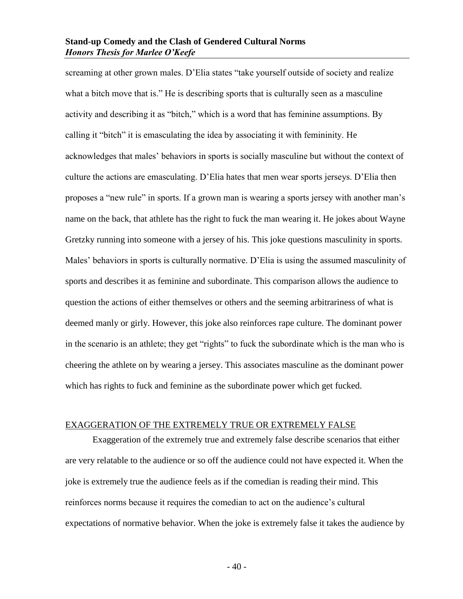screaming at other grown males. D'Elia states "take yourself outside of society and realize what a bitch move that is." He is describing sports that is culturally seen as a masculine activity and describing it as "bitch," which is a word that has feminine assumptions. By calling it "bitch" it is emasculating the idea by associating it with femininity. He acknowledges that males' behaviors in sports is socially masculine but without the context of culture the actions are emasculating. D'Elia hates that men wear sports jerseys. D'Elia then proposes a "new rule" in sports. If a grown man is wearing a sports jersey with another man's name on the back, that athlete has the right to fuck the man wearing it. He jokes about Wayne Gretzky running into someone with a jersey of his. This joke questions masculinity in sports. Males' behaviors in sports is culturally normative. D'Elia is using the assumed masculinity of sports and describes it as feminine and subordinate. This comparison allows the audience to question the actions of either themselves or others and the seeming arbitrariness of what is deemed manly or girly. However, this joke also reinforces rape culture. The dominant power in the scenario is an athlete; they get "rights" to fuck the subordinate which is the man who is cheering the athlete on by wearing a jersey. This associates masculine as the dominant power which has rights to fuck and feminine as the subordinate power which get fucked.

#### <span id="page-41-0"></span>EXAGGERATION OF THE EXTREMELY TRUE OR EXTREMELY FALSE

Exaggeration of the extremely true and extremely false describe scenarios that either are very relatable to the audience or so off the audience could not have expected it. When the joke is extremely true the audience feels as if the comedian is reading their mind. This reinforces norms because it requires the comedian to act on the audience's cultural expectations of normative behavior. When the joke is extremely false it takes the audience by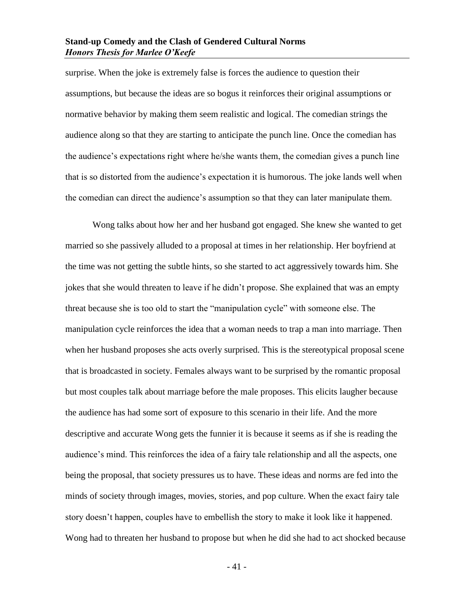surprise. When the joke is extremely false is forces the audience to question their assumptions, but because the ideas are so bogus it reinforces their original assumptions or normative behavior by making them seem realistic and logical. The comedian strings the audience along so that they are starting to anticipate the punch line. Once the comedian has the audience's expectations right where he/she wants them, the comedian gives a punch line that is so distorted from the audience's expectation it is humorous. The joke lands well when the comedian can direct the audience's assumption so that they can later manipulate them.

Wong talks about how her and her husband got engaged. She knew she wanted to get married so she passively alluded to a proposal at times in her relationship. Her boyfriend at the time was not getting the subtle hints, so she started to act aggressively towards him. She jokes that she would threaten to leave if he didn't propose. She explained that was an empty threat because she is too old to start the "manipulation cycle" with someone else. The manipulation cycle reinforces the idea that a woman needs to trap a man into marriage. Then when her husband proposes she acts overly surprised. This is the stereotypical proposal scene that is broadcasted in society. Females always want to be surprised by the romantic proposal but most couples talk about marriage before the male proposes. This elicits laugher because the audience has had some sort of exposure to this scenario in their life. And the more descriptive and accurate Wong gets the funnier it is because it seems as if she is reading the audience's mind. This reinforces the idea of a fairy tale relationship and all the aspects, one being the proposal, that society pressures us to have. These ideas and norms are fed into the minds of society through images, movies, stories, and pop culture. When the exact fairy tale story doesn't happen, couples have to embellish the story to make it look like it happened. Wong had to threaten her husband to propose but when he did she had to act shocked because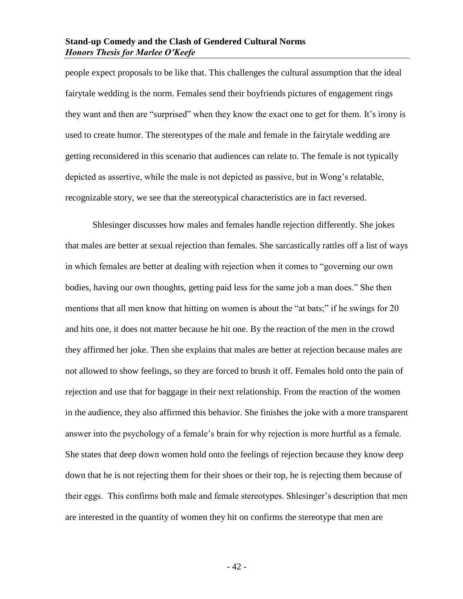people expect proposals to be like that. This challenges the cultural assumption that the ideal fairytale wedding is the norm. Females send their boyfriends pictures of engagement rings they want and then are "surprised" when they know the exact one to get for them. It's irony is used to create humor. The stereotypes of the male and female in the fairytale wedding are getting reconsidered in this scenario that audiences can relate to. The female is not typically depicted as assertive, while the male is not depicted as passive, but in Wong's relatable, recognizable story, we see that the stereotypical characteristics are in fact reversed.

Shlesinger discusses how males and females handle rejection differently. She jokes that males are better at sexual rejection than females. She sarcastically rattles off a list of ways in which females are better at dealing with rejection when it comes to "governing our own bodies, having our own thoughts, getting paid less for the same job a man does." She then mentions that all men know that hitting on women is about the "at bats;" if he swings for 20 and hits one, it does not matter because he hit one. By the reaction of the men in the crowd they affirmed her joke. Then she explains that males are better at rejection because males are not allowed to show feelings, so they are forced to brush it off. Females hold onto the pain of rejection and use that for baggage in their next relationship. From the reaction of the women in the audience, they also affirmed this behavior. She finishes the joke with a more transparent answer into the psychology of a female's brain for why rejection is more hurtful as a female. She states that deep down women hold onto the feelings of rejection because they know deep down that he is not rejecting them for their shoes or their top, he is rejecting them because of their eggs. This confirms both male and female stereotypes. Shlesinger's description that men are interested in the quantity of women they hit on confirms the stereotype that men are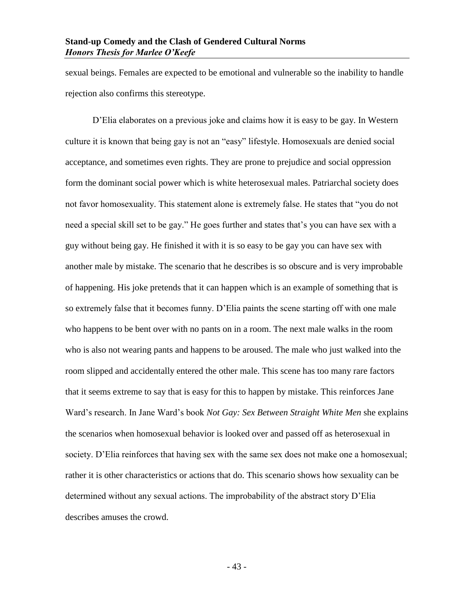sexual beings. Females are expected to be emotional and vulnerable so the inability to handle rejection also confirms this stereotype.

D'Elia elaborates on a previous joke and claims how it is easy to be gay. In Western culture it is known that being gay is not an "easy" lifestyle. Homosexuals are denied social acceptance, and sometimes even rights. They are prone to prejudice and social oppression form the dominant social power which is white heterosexual males. Patriarchal society does not favor homosexuality. This statement alone is extremely false. He states that "you do not need a special skill set to be gay." He goes further and states that's you can have sex with a guy without being gay. He finished it with it is so easy to be gay you can have sex with another male by mistake. The scenario that he describes is so obscure and is very improbable of happening. His joke pretends that it can happen which is an example of something that is so extremely false that it becomes funny. D'Elia paints the scene starting off with one male who happens to be bent over with no pants on in a room. The next male walks in the room who is also not wearing pants and happens to be aroused. The male who just walked into the room slipped and accidentally entered the other male. This scene has too many rare factors that it seems extreme to say that is easy for this to happen by mistake. This reinforces Jane Ward's research. In Jane Ward's book *Not Gay: Sex Between Straight White Men* she explains the scenarios when homosexual behavior is looked over and passed off as heterosexual in society. D'Elia reinforces that having sex with the same sex does not make one a homosexual; rather it is other characteristics or actions that do. This scenario shows how sexuality can be determined without any sexual actions. The improbability of the abstract story D'Elia describes amuses the crowd.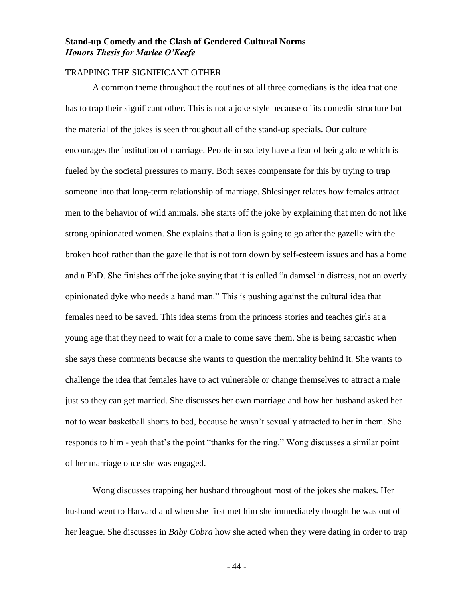# <span id="page-45-0"></span>TRAPPING THE SIGNIFICANT OTHER

A common theme throughout the routines of all three comedians is the idea that one has to trap their significant other. This is not a joke style because of its comedic structure but the material of the jokes is seen throughout all of the stand-up specials. Our culture encourages the institution of marriage. People in society have a fear of being alone which is fueled by the societal pressures to marry. Both sexes compensate for this by trying to trap someone into that long-term relationship of marriage. Shlesinger relates how females attract men to the behavior of wild animals. She starts off the joke by explaining that men do not like strong opinionated women. She explains that a lion is going to go after the gazelle with the broken hoof rather than the gazelle that is not torn down by self-esteem issues and has a home and a PhD. She finishes off the joke saying that it is called "a damsel in distress, not an overly opinionated dyke who needs a hand man." This is pushing against the cultural idea that females need to be saved. This idea stems from the princess stories and teaches girls at a young age that they need to wait for a male to come save them. She is being sarcastic when she says these comments because she wants to question the mentality behind it. She wants to challenge the idea that females have to act vulnerable or change themselves to attract a male just so they can get married. She discusses her own marriage and how her husband asked her not to wear basketball shorts to bed, because he wasn't sexually attracted to her in them. She responds to him - yeah that's the point "thanks for the ring." Wong discusses a similar point of her marriage once she was engaged.

Wong discusses trapping her husband throughout most of the jokes she makes. Her husband went to Harvard and when she first met him she immediately thought he was out of her league. She discusses in *Baby Cobra* how she acted when they were dating in order to trap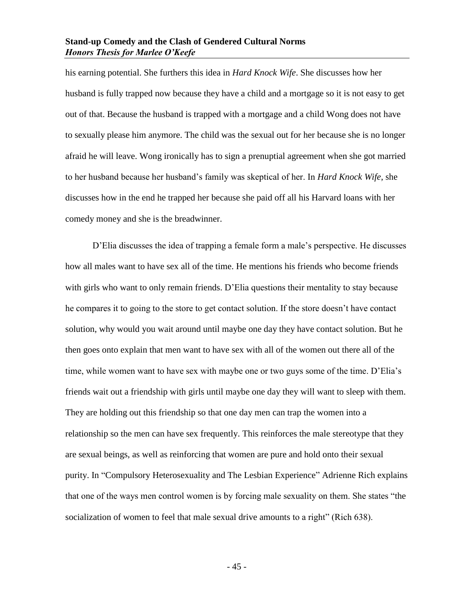his earning potential. She furthers this idea in *Hard Knock Wife*. She discusses how her husband is fully trapped now because they have a child and a mortgage so it is not easy to get out of that. Because the husband is trapped with a mortgage and a child Wong does not have to sexually please him anymore. The child was the sexual out for her because she is no longer afraid he will leave. Wong ironically has to sign a prenuptial agreement when she got married to her husband because her husband's family was skeptical of her. In *Hard Knock Wife*, she discusses how in the end he trapped her because she paid off all his Harvard loans with her comedy money and she is the breadwinner.

D'Elia discusses the idea of trapping a female form a male's perspective. He discusses how all males want to have sex all of the time. He mentions his friends who become friends with girls who want to only remain friends. D'Elia questions their mentality to stay because he compares it to going to the store to get contact solution. If the store doesn't have contact solution, why would you wait around until maybe one day they have contact solution. But he then goes onto explain that men want to have sex with all of the women out there all of the time, while women want to have sex with maybe one or two guys some of the time. D'Elia's friends wait out a friendship with girls until maybe one day they will want to sleep with them. They are holding out this friendship so that one day men can trap the women into a relationship so the men can have sex frequently. This reinforces the male stereotype that they are sexual beings, as well as reinforcing that women are pure and hold onto their sexual purity. In "Compulsory Heterosexuality and The Lesbian Experience" Adrienne Rich explains that one of the ways men control women is by forcing male sexuality on them. She states "the socialization of women to feel that male sexual drive amounts to a right" (Rich 638).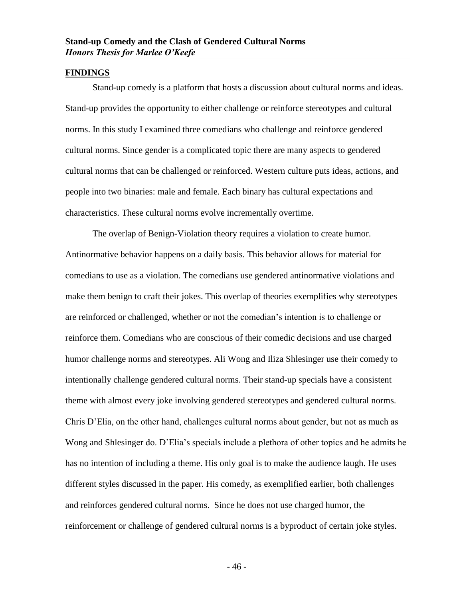#### <span id="page-47-0"></span>**FINDINGS**

Stand-up comedy is a platform that hosts a discussion about cultural norms and ideas. Stand-up provides the opportunity to either challenge or reinforce stereotypes and cultural norms. In this study I examined three comedians who challenge and reinforce gendered cultural norms. Since gender is a complicated topic there are many aspects to gendered cultural norms that can be challenged or reinforced. Western culture puts ideas, actions, and people into two binaries: male and female. Each binary has cultural expectations and characteristics. These cultural norms evolve incrementally overtime.

The overlap of Benign-Violation theory requires a violation to create humor. Antinormative behavior happens on a daily basis. This behavior allows for material for comedians to use as a violation. The comedians use gendered antinormative violations and make them benign to craft their jokes. This overlap of theories exemplifies why stereotypes are reinforced or challenged, whether or not the comedian's intention is to challenge or reinforce them. Comedians who are conscious of their comedic decisions and use charged humor challenge norms and stereotypes. Ali Wong and Iliza Shlesinger use their comedy to intentionally challenge gendered cultural norms. Their stand-up specials have a consistent theme with almost every joke involving gendered stereotypes and gendered cultural norms. Chris D'Elia, on the other hand, challenges cultural norms about gender, but not as much as Wong and Shlesinger do. D'Elia's specials include a plethora of other topics and he admits he has no intention of including a theme. His only goal is to make the audience laugh. He uses different styles discussed in the paper. His comedy, as exemplified earlier, both challenges and reinforces gendered cultural norms. Since he does not use charged humor, the reinforcement or challenge of gendered cultural norms is a byproduct of certain joke styles.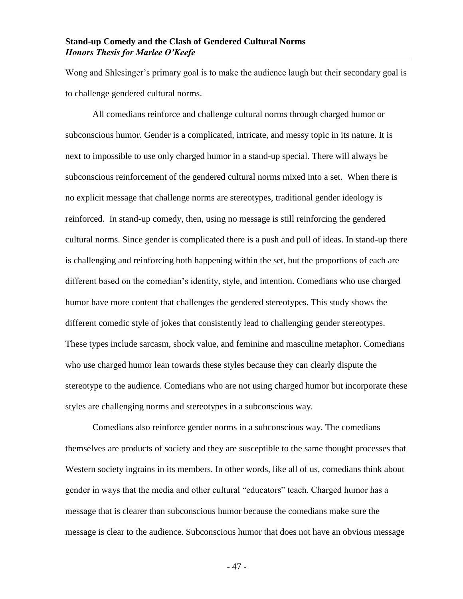Wong and Shlesinger's primary goal is to make the audience laugh but their secondary goal is to challenge gendered cultural norms.

All comedians reinforce and challenge cultural norms through charged humor or subconscious humor. Gender is a complicated, intricate, and messy topic in its nature. It is next to impossible to use only charged humor in a stand-up special. There will always be subconscious reinforcement of the gendered cultural norms mixed into a set. When there is no explicit message that challenge norms are stereotypes, traditional gender ideology is reinforced. In stand-up comedy, then, using no message is still reinforcing the gendered cultural norms. Since gender is complicated there is a push and pull of ideas. In stand-up there is challenging and reinforcing both happening within the set, but the proportions of each are different based on the comedian's identity, style, and intention. Comedians who use charged humor have more content that challenges the gendered stereotypes. This study shows the different comedic style of jokes that consistently lead to challenging gender stereotypes. These types include sarcasm, shock value, and feminine and masculine metaphor. Comedians who use charged humor lean towards these styles because they can clearly dispute the stereotype to the audience. Comedians who are not using charged humor but incorporate these styles are challenging norms and stereotypes in a subconscious way.

Comedians also reinforce gender norms in a subconscious way. The comedians themselves are products of society and they are susceptible to the same thought processes that Western society ingrains in its members. In other words, like all of us, comedians think about gender in ways that the media and other cultural "educators" teach. Charged humor has a message that is clearer than subconscious humor because the comedians make sure the message is clear to the audience. Subconscious humor that does not have an obvious message

- 47 -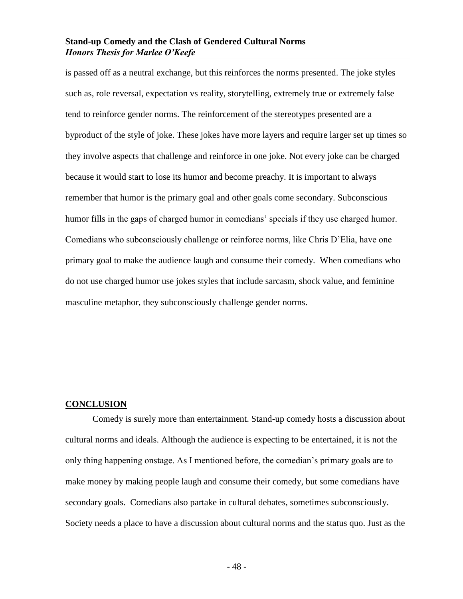is passed off as a neutral exchange, but this reinforces the norms presented. The joke styles such as, role reversal, expectation vs reality, storytelling, extremely true or extremely false tend to reinforce gender norms. The reinforcement of the stereotypes presented are a byproduct of the style of joke. These jokes have more layers and require larger set up times so they involve aspects that challenge and reinforce in one joke. Not every joke can be charged because it would start to lose its humor and become preachy. It is important to always remember that humor is the primary goal and other goals come secondary. Subconscious humor fills in the gaps of charged humor in comedians' specials if they use charged humor. Comedians who subconsciously challenge or reinforce norms, like Chris D'Elia, have one primary goal to make the audience laugh and consume their comedy. When comedians who do not use charged humor use jokes styles that include sarcasm, shock value, and feminine masculine metaphor, they subconsciously challenge gender norms.

#### <span id="page-49-0"></span>**CONCLUSION**

Comedy is surely more than entertainment. Stand-up comedy hosts a discussion about cultural norms and ideals. Although the audience is expecting to be entertained, it is not the only thing happening onstage. As I mentioned before, the comedian's primary goals are to make money by making people laugh and consume their comedy, but some comedians have secondary goals. Comedians also partake in cultural debates, sometimes subconsciously. Society needs a place to have a discussion about cultural norms and the status quo. Just as the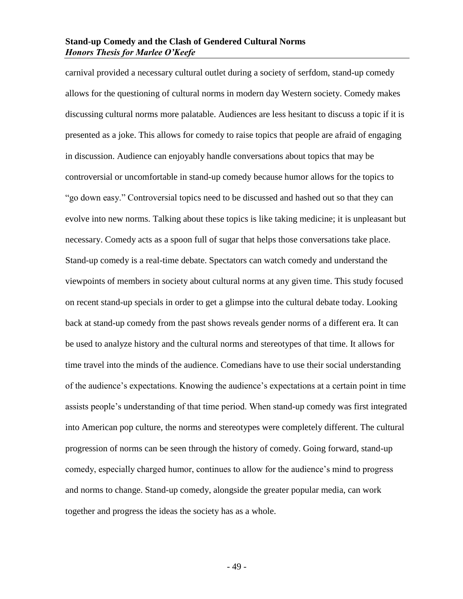carnival provided a necessary cultural outlet during a society of serfdom, stand-up comedy allows for the questioning of cultural norms in modern day Western society. Comedy makes discussing cultural norms more palatable. Audiences are less hesitant to discuss a topic if it is presented as a joke. This allows for comedy to raise topics that people are afraid of engaging in discussion. Audience can enjoyably handle conversations about topics that may be controversial or uncomfortable in stand-up comedy because humor allows for the topics to "go down easy." Controversial topics need to be discussed and hashed out so that they can evolve into new norms. Talking about these topics is like taking medicine; it is unpleasant but necessary. Comedy acts as a spoon full of sugar that helps those conversations take place. Stand-up comedy is a real-time debate. Spectators can watch comedy and understand the viewpoints of members in society about cultural norms at any given time. This study focused on recent stand-up specials in order to get a glimpse into the cultural debate today. Looking back at stand-up comedy from the past shows reveals gender norms of a different era. It can be used to analyze history and the cultural norms and stereotypes of that time. It allows for time travel into the minds of the audience. Comedians have to use their social understanding of the audience's expectations. Knowing the audience's expectations at a certain point in time assists people's understanding of that time period. When stand-up comedy was first integrated into American pop culture, the norms and stereotypes were completely different. The cultural progression of norms can be seen through the history of comedy. Going forward, stand-up comedy, especially charged humor, continues to allow for the audience's mind to progress and norms to change. Stand-up comedy, alongside the greater popular media, can work together and progress the ideas the society has as a whole.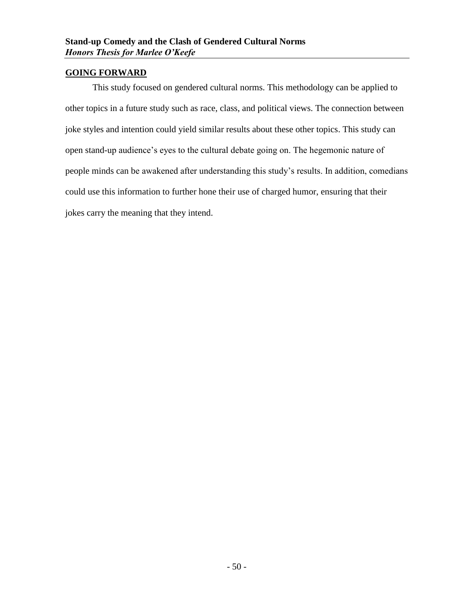# <span id="page-51-0"></span>**GOING FORWARD**

This study focused on gendered cultural norms. This methodology can be applied to other topics in a future study such as race, class, and political views. The connection between joke styles and intention could yield similar results about these other topics. This study can open stand-up audience's eyes to the cultural debate going on. The hegemonic nature of people minds can be awakened after understanding this study's results. In addition, comedians could use this information to further hone their use of charged humor, ensuring that their jokes carry the meaning that they intend.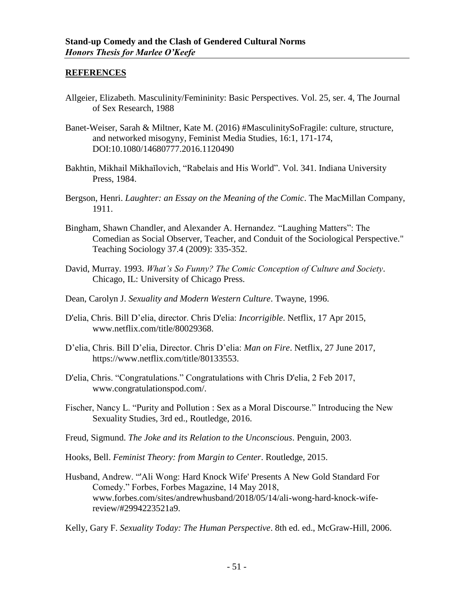#### <span id="page-52-0"></span>**REFERENCES**

- Allgeier, Elizabeth. Masculinity/Femininity: Basic Perspectives. Vol. 25, ser. 4, The Journal of Sex Research, 1988
- Banet-Weiser, Sarah & Miltner, Kate M. (2016) #MasculinitySoFragile: culture, structure, and networked misogyny, Feminist Media Studies, 16:1, 171-174, DOI:10.1080/14680777.2016.1120490
- Bakhtin, Mikhail Mikhaĭlovich, "Rabelais and His World". Vol. 341. Indiana University Press, 1984.
- Bergson, Henri. *Laughter: an Essay on the Meaning of the Comic*. The MacMillan Company, 1911.
- Bingham, Shawn Chandler, and Alexander A. Hernandez. "Laughing Matters": The Comedian as Social Observer, Teacher, and Conduit of the Sociological Perspective." Teaching Sociology 37.4 (2009): 335-352.
- David, Murray. 1993. *What's So Funny? The Comic Conception of Culture and Society*. Chicago, IL: University of Chicago Press.
- Dean, Carolyn J. *Sexuality and Modern Western Culture*. Twayne, 1996.
- D'elia, Chris. Bill D'elia, director. Chris D'elia: *Incorrigible*. Netflix, 17 Apr 2015, www.netflix.com/title/80029368.
- D'elia, Chris. Bill D'elia, Director. Chris D'elia: *Man on Fire*. Netflix, 27 June 2017, https://www.netflix.com/title/80133553.
- D'elia, Chris. "Congratulations." Congratulations with Chris D'elia, 2 Feb 2017, www.congratulationspod.com/.
- Fischer, Nancy L. "Purity and Pollution : Sex as a Moral Discourse." Introducing the New Sexuality Studies, 3rd ed., Routledge, 2016.
- Freud, Sigmund. *The Joke and its Relation to the Unconscious*. Penguin, 2003.
- Hooks, Bell. *Feminist Theory: from Margin to Center*. Routledge, 2015.
- Husband, Andrew. "'Ali Wong: Hard Knock Wife' Presents A New Gold Standard For Comedy." Forbes, Forbes Magazine, 14 May 2018, www.forbes.com/sites/andrewhusband/2018/05/14/ali-wong-hard-knock-wifereview/#2994223521a9.
- Kelly, Gary F. *Sexuality Today: The Human Perspective*. 8th ed. ed., McGraw-Hill, 2006.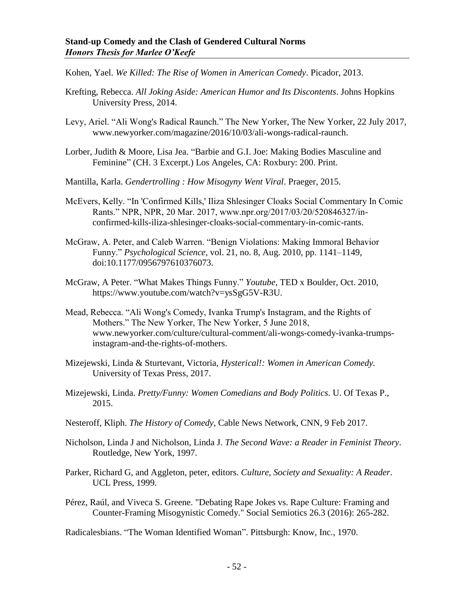Kohen, Yael. *We Killed: The Rise of Women in American Comedy*. Picador, 2013.

- Krefting, Rebecca. *All Joking Aside: American Humor and Its Discontents*. Johns Hopkins University Press, 2014.
- Levy, Ariel. "Ali Wong's Radical Raunch." The New Yorker, The New Yorker, 22 July 2017, www.newyorker.com/magazine/2016/10/03/ali-wongs-radical-raunch.
- Lorber, Judith & Moore, Lisa Jea. "Barbie and G.I. Joe: Making Bodies Masculine and Feminine" (CH. 3 Excerpt.) Los Angeles, CA: Roxbury: 200. Print.
- Mantilla, Karla. *Gendertrolling : How Misogyny Went Viral*. Praeger, 2015.
- McEvers, Kelly. "In 'Confirmed Kills,' Iliza Shlesinger Cloaks Social Commentary In Comic Rants." NPR, NPR, 20 Mar. 2017, www.npr.org/2017/03/20/520846327/inconfirmed-kills-iliza-shlesinger-cloaks-social-commentary-in-comic-rants.
- McGraw, A. Peter, and Caleb Warren. "Benign Violations: Making Immoral Behavior Funny." *Psychological Science*, vol. 21, no. 8, Aug. 2010, pp. 1141–1149, doi:10.1177/0956797610376073.
- McGraw, A Peter. "What Makes Things Funny." *Youtube,* TED x Boulder, Oct. 2010, https://www.youtube.com/watch?v=ysSgG5V-R3U.
- Mead, Rebecca. "Ali Wong's Comedy, Ivanka Trump's Instagram, and the Rights of Mothers." The New Yorker, The New Yorker, 5 June 2018, www.newyorker.com/culture/cultural-comment/ali-wongs-comedy-ivanka-trumpsinstagram-and-the-rights-of-mothers.
- Mizejewski, Linda & Sturtevant, Victoria, *Hysterical!: Women in American Comedy.* University of Texas Press, 2017.
- Mizejewski, Linda. *Pretty/Funny: Women Comedians and Body Politics*. U. Of Texas P., 2015.
- Nesteroff, Kliph. *The History of Comedy*, Cable News Network, CNN, 9 Feb 2017.
- Nicholson, Linda J and Nicholson, Linda J. *The Second Wave: a Reader in Feminist Theory*. Routledge, New York, 1997.
- Parker, Richard G, and Aggleton, peter, editors. *Culture, Society and Sexuality: A Reader*. UCL Press, 1999.
- Pérez, Raúl, and Viveca S. Greene. "Debating Rape Jokes vs. Rape Culture: Framing and Counter-Framing Misogynistic Comedy." Social Semiotics 26.3 (2016): 265-282.

Radicalesbians. "The Woman Identified Woman". Pittsburgh: Know, Inc., 1970.